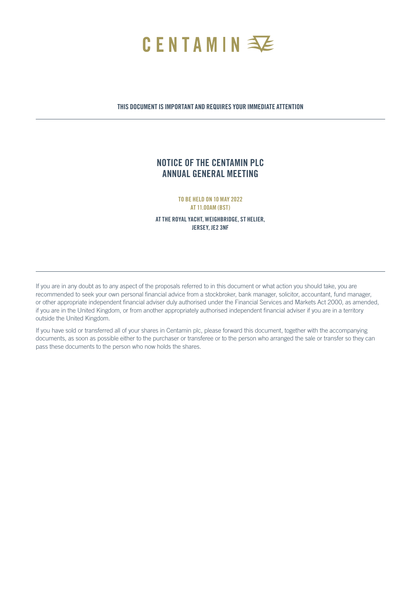

## THIS DOCUMENT IS IMPORTANT AND REQUIRES YOUR IMMEDIATE ATTENTION

## NOTICE OF THE CENTAMIN PLC ANNUAL GENERAL MEETING

TO BE HELD ON 10 MAY 2022 AT 11.00AM (BST)

AT THE ROYAL YACHT, WEIGHBRIDGE, ST HELIER, JERSEY, JE2 3NF

If you are in any doubt as to any aspect of the proposals referred to in this document or what action you should take, you are recommended to seek your own personal financial advice from a stockbroker, bank manager, solicitor, accountant, fund manager, or other appropriate independent financial adviser duly authorised under the Financial Services and Markets Act 2000, as amended, if you are in the United Kingdom, or from another appropriately authorised independent financial adviser if you are in a territory outside the United Kingdom.

If you have sold or transferred all of your shares in Centamin plc, please forward this document, together with the accompanying documents, as soon as possible either to the purchaser or transferee or to the person who arranged the sale or transfer so they can pass these documents to the person who now holds the shares.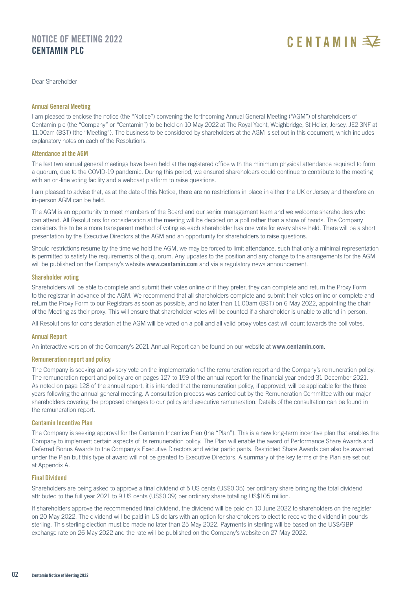## NOTICE OF MEETING 2022 CENTAMIN PLC

# CENTAMINE

Dear Shareholder

## Annual General Meeting

I am pleased to enclose the notice (the "Notice") convening the forthcoming Annual General Meeting ("AGM") of shareholders of Centamin plc (the "Company" or "Centamin") to be held on 10 May 2022 at The Royal Yacht, Weighbridge, St Helier, Jersey, JE2 3NF at 11.00am (BST) (the "Meeting"). The business to be considered by shareholders at the AGM is set out in this document, which includes explanatory notes on each of the Resolutions.

## Attendance at the AGM

The last two annual general meetings have been held at the registered office with the minimum physical attendance required to form a quorum, due to the COVID-19 pandemic. During this period, we ensured shareholders could continue to contribute to the meeting with an on-line voting facility and a webcast platform to raise questions.

I am pleased to advise that, as at the date of this Notice, there are no restrictions in place in either the UK or Jersey and therefore an in-person AGM can be held.

The AGM is an opportunity to meet members of the Board and our senior management team and we welcome shareholders who can attend. All Resolutions for consideration at the meeting will be decided on a poll rather than a show of hands. The Company considers this to be a more transparent method of voting as each shareholder has one vote for every share held. There will be a short presentation by the Executive Directors at the AGM and an opportunity for shareholders to raise questions.

Should restrictions resume by the time we hold the AGM, we may be forced to limit attendance, such that only a minimal representation is permitted to satisfy the requirements of the quorum. Any updates to the position and any change to the arrangements for the AGM will be published on the Company's website **www.centamin.com** and via a regulatory news announcement.

### Shareholder voting

Shareholders will be able to complete and submit their votes online or if they prefer, they can complete and return the Proxy Form to the registrar in advance of the AGM. We recommend that all shareholders complete and submit their votes online or complete and return the Proxy Form to our Registrars as soon as possible, and no later than 11.00am (BST) on 6 May 2022, appointing the chair of the Meeting as their proxy. This will ensure that shareholder votes will be counted if a shareholder is unable to attend in person.

All Resolutions for consideration at the AGM will be voted on a poll and all valid proxy votes cast will count towards the poll votes.

## Annual Report

An interactive version of the Company's 2021 Annual Report can be found on our website at **www.centamin.com**.

## Remuneration report and policy

The Company is seeking an advisory vote on the implementation of the remuneration report and the Company's remuneration policy. The remuneration report and policy are on pages 127 to 159 of the annual report for the financial year ended 31 December 2021. As noted on page 128 of the annual report, it is intended that the remuneration policy, if approved, will be applicable for the three years following the annual general meeting. A consultation process was carried out by the Remuneration Committee with our major shareholders covering the proposed changes to our policy and executive remuneration. Details of the consultation can be found in the remuneration report.

### Centamin Incentive Plan

The Company is seeking approval for the Centamin Incentive Plan (the "Plan"). This is a new long-term incentive plan that enables the Company to implement certain aspects of its remuneration policy. The Plan will enable the award of Performance Share Awards and Deferred Bonus Awards to the Company's Executive Directors and wider participants. Restricted Share Awards can also be awarded under the Plan but this type of award will not be granted to Executive Directors. A summary of the key terms of the Plan are set out at Appendix A.

## Final Dividend

Shareholders are being asked to approve a final dividend of 5 US cents (US\$0.05) per ordinary share bringing the total dividend attributed to the full year 2021 to 9 US cents (US\$0.09) per ordinary share totalling US\$105 million.

If shareholders approve the recommended final dividend, the dividend will be paid on 10 June 2022 to shareholders on the register on 20 May 2022. The dividend will be paid in US dollars with an option for shareholders to elect to receive the dividend in pounds sterling. This sterling election must be made no later than 25 May 2022. Payments in sterling will be based on the US\$/GBP exchange rate on 26 May 2022 and the rate will be published on the Company's website on 27 May 2022.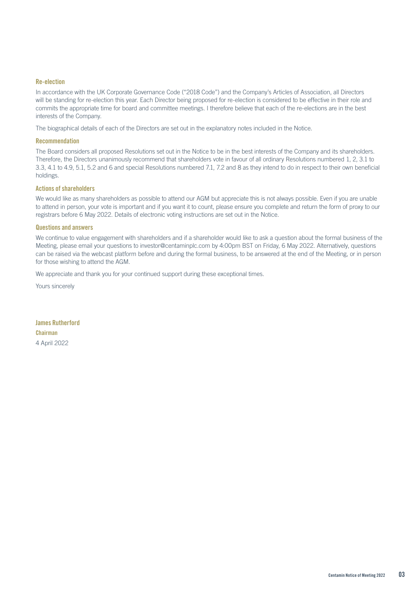## Re-election

In accordance with the UK Corporate Governance Code ("2018 Code") and the Company's Articles of Association, all Directors will be standing for re-election this year. Each Director being proposed for re-election is considered to be effective in their role and commits the appropriate time for board and committee meetings. I therefore believe that each of the re-elections are in the best interests of the Company.

The biographical details of each of the Directors are set out in the explanatory notes included in the Notice.

#### Recommendation

The Board considers all proposed Resolutions set out in the Notice to be in the best interests of the Company and its shareholders. Therefore, the Directors unanimously recommend that shareholders vote in favour of all ordinary Resolutions numbered 1, 2, 3.1 to 3.3, 4.1 to 4.9, 5.1, 5.2 and 6 and special Resolutions numbered 7.1, 7.2 and 8 as they intend to do in respect to their own beneficial holdings.

### Actions of shareholders

We would like as many shareholders as possible to attend our AGM but appreciate this is not always possible. Even if you are unable to attend in person, your vote is important and if you want it to count, please ensure you complete and return the form of proxy to our registrars before 6 May 2022. Details of electronic voting instructions are set out in the Notice.

## Questions and answers

We continue to value engagement with shareholders and if a shareholder would like to ask a question about the formal business of the Meeting, please email your questions to investor@centaminplc.com by 4:00pm BST on Friday, 6 May 2022. Alternatively, questions can be raised via the webcast platform before and during the formal business, to be answered at the end of the Meeting, or in person for those wishing to attend the AGM.

We appreciate and thank you for your continued support during these exceptional times.

Yours sincerely

James Rutherford Chairman 4 April 2022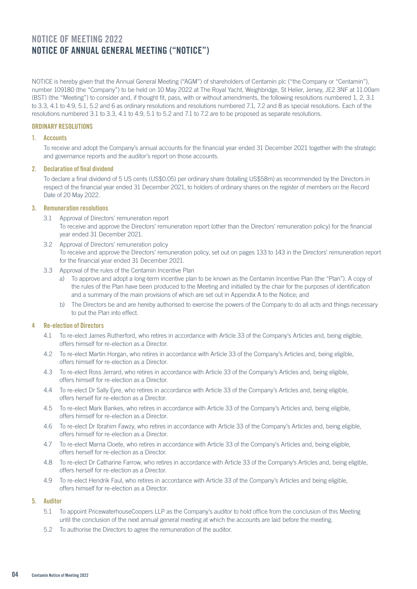## NOTICE OF MEETING 2022 Notice of annual general meeting ("notice")

NOTICE is hereby given that the Annual General Meeting ("AGM") of shareholders of Centamin plc ("the Company or "Centamin"), number 109180 (the "Company") to be held on 10 May 2022 at The Royal Yacht, Weighbridge, St Helier, Jersey, JE2 3NF at 11.00am (BST) (the "Meeting") to consider and, if thought fit, pass, with or without amendments, the following resolutions numbered 1, 2, 3.1 to 3.3, 4.1 to 4.9, 5.1, 5.2 and 6 as ordinary resolutions and resolutions numbered 7.1, 7.2 and 8 as special resolutions. Each of the resolutions numbered 3.1 to 3.3, 4.1 to 4.9, 5.1 to 5.2 and 7.1 to 7.2 are to be proposed as separate resolutions.

## ORDINARY RESOLUTIONS

## 1. Accounts

 To receive and adopt the Company's annual accounts for the financial year ended 31 December 2021 together with the strategic and governance reports and the auditor's report on those accounts.

### 2. Declaration of final dividend

To declare a final dividend of 5 US cents (US\$0.05) per ordinary share (totalling US\$58m) as recommended by the Directors in respect of the financial year ended 31 December 2021, to holders of ordinary shares on the register of members on the Record Date of 20 May 2022.

## 3. Remuneration resolutions

3.1 Approval of Directors' remuneration report

To receive and approve the Directors' remuneration report (other than the Directors' remuneration policy) for the financial year ended 31 December 2021.

- 3.2 Approval of Directors' remuneration policy To receive and approve the Directors' remuneration policy, set out on pages 133 to 143 in the Directors' remuneration report for the financial year ended 31 December 2021.
- 3.3 Approval of the rules of the Centamin Incentive Plan
	- a) To approve and adopt a long-term incentive plan to be known as the Centamin Incentive Plan (the "Plan"). A copy of the rules of the Plan have been produced to the Meeting and initialled by the chair for the purposes of identification and a summary of the main provisions of which are set out in Appendix A to the Notice; and
	- b) The Directors be and are hereby authorised to exercise the powers of the Company to do all acts and things necessary to put the Plan into effect.

## 4 Re-election of Directors

- 4.1 To re-elect James Rutherford, who retires in accordance with Article 33 of the Company's Articles and, being eligible, offers himself for re-election as a Director.
- 4.2 To re-elect Martin Horgan, who retires in accordance with Article 33 of the Company's Articles and, being eligible, offers himself for re-election as a Director.
- 4.3 To re-elect Ross Jerrard, who retires in accordance with Article 33 of the Company's Articles and, being eligible, offers himself for re-election as a Director.
- 4.4 To re-elect Dr Sally Eyre, who retires in accordance with Article 33 of the Company's Articles and, being eligible, offers herself for re-election as a Director.
- 4.5 To re-elect Mark Bankes, who retires in accordance with Article 33 of the Company's Articles and, being eligible, offers himself for re-election as a Director.
- 4.6 To re-elect Dr Ibrahim Fawzy, who retires in accordance with Article 33 of the Company's Articles and, being eligible, offers himself for re-election as a Director.
- 4.7 To re-elect Marna Cloete, who retires in accordance with Article 33 of the Company's Articles and, being eligible, offers herself for re-election as a Director.
- 4.8 To re-elect Dr Catharine Farrow, who retires in accordance with Article 33 of the Company's Articles and, being eligible, offers herself for re-election as a Director.
- 4.9 To re-elect Hendrik Faul, who retires in accordance with Article 33 of the Company's Articles and being eligible, offers himself for re-election as a Director.

## 5. Auditor

- 5.1 To appoint PricewaterhouseCoopers LLP as the Company's auditor to hold office from the conclusion of this Meeting until the conclusion of the next annual general meeting at which the accounts are laid before the meeting.
- 5.2 To authorise the Directors to agree the remuneration of the auditor.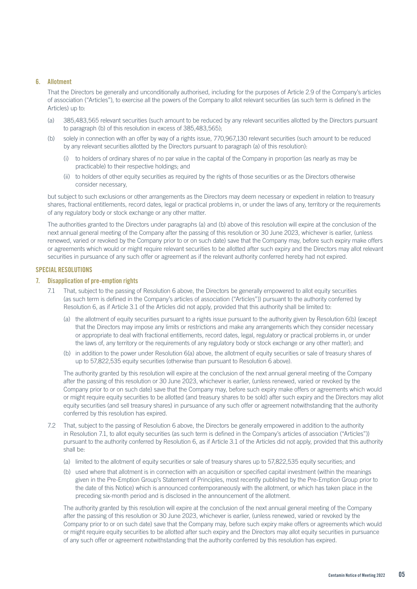## 6. Allotment

That the Directors be generally and unconditionally authorised, including for the purposes of Article 2.9 of the Company's articles of association ("Articles"), to exercise all the powers of the Company to allot relevant securities (as such term is defined in the Articles) up to:

- (a) 385,483,565 relevant securities (such amount to be reduced by any relevant securities allotted by the Directors pursuant to paragraph (b) of this resolution in excess of 385,483,565);
- (b) solely in connection with an offer by way of a rights issue, 770,967,130 relevant securities (such amount to be reduced by any relevant securities allotted by the Directors pursuant to paragraph (a) of this resolution):
	- (i) to holders of ordinary shares of no par value in the capital of the Company in proportion (as nearly as may be practicable) to their respective holdings; and
	- (ii) to holders of other equity securities as required by the rights of those securities or as the Directors otherwise consider necessary,

but subject to such exclusions or other arrangements as the Directors may deem necessary or expedient in relation to treasury shares, fractional entitlements, record dates, legal or practical problems in, or under the laws of any, territory or the requirements of any regulatory body or stock exchange or any other matter.

The authorities granted to the Directors under paragraphs (a) and (b) above of this resolution will expire at the conclusion of the next annual general meeting of the Company after the passing of this resolution or 30 June 2023, whichever is earlier, (unless renewed, varied or revoked by the Company prior to or on such date) save that the Company may, before such expiry make offers or agreements which would or might require relevant securities to be allotted after such expiry and the Directors may allot relevant securities in pursuance of any such offer or agreement as if the relevant authority conferred hereby had not expired.

### SPECIAL RESOLUTIONS

### 7. Disapplication of pre-emption rights

- 7.1 That, subject to the passing of Resolution 6 above, the Directors be generally empowered to allot equity securities (as such term is defined in the Company's articles of association ("Articles")) pursuant to the authority conferred by Resolution 6, as if Article 3.1 of the Articles did not apply, provided that this authority shall be limited to:
	- (a) the allotment of equity securities pursuant to a rights issue pursuant to the authority given by Resolution 6(b) (except that the Directors may impose any limits or restrictions and make any arrangements which they consider necessary or appropriate to deal with fractional entitlements, record dates, legal, regulatory or practical problems in, or under the laws of, any territory or the requirements of any regulatory body or stock exchange or any other matter); and
	- (b) in addition to the power under Resolution 6(a) above, the allotment of equity securities or sale of treasury shares of up to 57,822,535 equity securities (otherwise than pursuant to Resolution 6 above).

The authority granted by this resolution will expire at the conclusion of the next annual general meeting of the Company after the passing of this resolution or 30 June 2023, whichever is earlier, (unless renewed, varied or revoked by the Company prior to or on such date) save that the Company may, before such expiry make offers or agreements which would or might require equity securities to be allotted (and treasury shares to be sold) after such expiry and the Directors may allot equity securities (and sell treasury shares) in pursuance of any such offer or agreement notwithstanding that the authority conferred by this resolution has expired.

- 7.2 That, subject to the passing of Resolution 6 above, the Directors be generally empowered in addition to the authority in Resolution 7.1, to allot equity securities (as such term is defined in the Company's articles of association ("Articles")) pursuant to the authority conferred by Resolution 6, as if Article 3.1 of the Articles did not apply, provided that this authority shall be:
	- (a) limited to the allotment of equity securities or sale of treasury shares up to 57,822,535 equity securities; and
	- (b) used where that allotment is in connection with an acquisition or specified capital investment (within the meanings given in the Pre-Emption Group's Statement of Principles, most recently published by the Pre-Emption Group prior to the date of this Notice) which is announced contemporaneously with the allotment, or which has taken place in the preceding six-month period and is disclosed in the announcement of the allotment.

The authority granted by this resolution will expire at the conclusion of the next annual general meeting of the Company after the passing of this resolution or 30 June 2023, whichever is earlier, (unless renewed, varied or revoked by the Company prior to or on such date) save that the Company may, before such expiry make offers or agreements which would or might require equity securities to be allotted after such expiry and the Directors may allot equity securities in pursuance of any such offer or agreement notwithstanding that the authority conferred by this resolution has expired.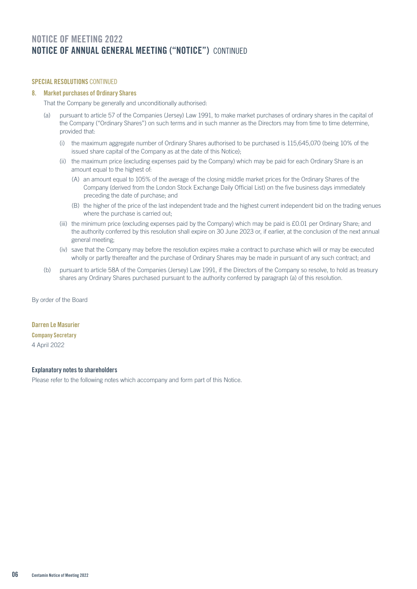## NOTICE OF MEETING 2022 Notice of annual general meeting ("notice") CONTINUED

## SPECIAL RESOLUTIONS CONTINUED

## 8. Market purchases of Ordinary Shares

That the Company be generally and unconditionally authorised:

- (a) pursuant to article 57 of the Companies (Jersey) Law 1991, to make market purchases of ordinary shares in the capital of the Company ("Ordinary Shares") on such terms and in such manner as the Directors may from time to time determine, provided that:
	- (i) the maximum aggregate number of Ordinary Shares authorised to be purchased is 115,645,070 (being 10% of the issued share capital of the Company as at the date of this Notice);
	- (ii) the maximum price (excluding expenses paid by the Company) which may be paid for each Ordinary Share is an amount equal to the highest of:
		- (A) an amount equal to 105% of the average of the closing middle market prices for the Ordinary Shares of the Company (derived from the London Stock Exchange Daily Official List) on the five business days immediately preceding the date of purchase; and
		- (B) the higher of the price of the last independent trade and the highest current independent bid on the trading venues where the purchase is carried out;
	- (iii) the minimum price (excluding expenses paid by the Company) which may be paid is £0.01 per Ordinary Share; and the authority conferred by this resolution shall expire on 30 June 2023 or, if earlier, at the conclusion of the next annual general meeting;
	- (iv) save that the Company may before the resolution expires make a contract to purchase which will or may be executed wholly or partly thereafter and the purchase of Ordinary Shares may be made in pursuant of any such contract; and
- (b) pursuant to article 58A of the Companies (Jersey) Law 1991, if the Directors of the Company so resolve, to hold as treasury shares any Ordinary Shares purchased pursuant to the authority conferred by paragraph (a) of this resolution.

By order of the Board

## Darren Le Masurier

## Company Secretary

4 April 2022

## Explanatory notes to shareholders

Please refer to the following notes which accompany and form part of this Notice.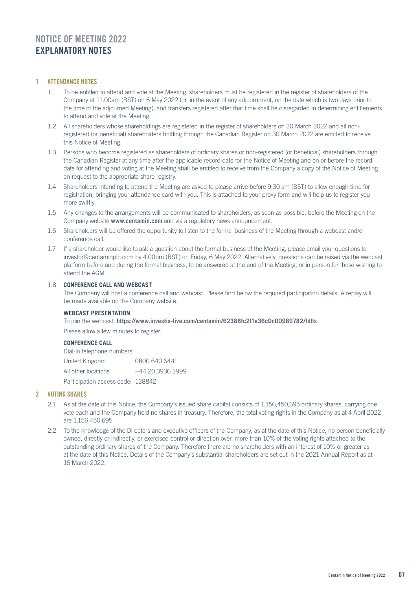## NOTICE OF MEETING 2022 Explanatory notes

## 1 ATTENDANCE NOTES

- 1.1 To be entitled to attend and vote at the Meeting, shareholders must be registered in the register of shareholders of the Company at 11.00am (BST) on 6 May 2022 (or, in the event of any adjournment, on the date which is two days prior to the time of the adjourned Meeting), and transfers registered after that time shall be disregarded in determining entitlements to attend and vote at the Meeting.
- 1.2 All shareholders whose shareholdings are registered in the register of shareholders on 30 March 2022 and all nonregistered (or beneficial) shareholders holding through the Canadian Register on 30 March 2022 are entitled to receive this Notice of Meeting.
- 1.3 Persons who become registered as shareholders of ordinary shares or non-registered (or beneficial) shareholders through the Canadian Register at any time after the applicable record date for the Notice of Meeting and on or before the record date for attending and voting at the Meeting shall be entitled to receive from the Company a copy of the Notice of Meeting on request to the appropriate share registry.
- 1.4 Shareholders intending to attend the Meeting are asked to please arrive before 9:30 am (BST) to allow enough time for registration, bringing your attendance card with you. This is attached to your proxy form and will help us to register you more swiftly.
- 1.5 Any changes to the arrangements will be communicated to shareholders, as soon as possible, before the Meeting on the Company website **www.centamin.com** and via a regulatory news announcement.
- 1.6 Shareholders will be offered the opportunity to listen to the formal business of the Meeting through a webcast and/or conference call.
- 1.7 If a shareholder would like to ask a question about the formal business of the Meeting, please email your questions to investor@centaminplc.com by 4.00pm (BST) on Friday, 6 May 2022. Alternatively, questions can be raised via the webcast platform before and during the formal business, to be answered at the end of the Meeting, or in person for those wishing to attend the AGM.

## 1.8 **CONFERENCE CALL AND WEBCAST**

The Company will host a conference call and webcast. Please find below the required participation details. A replay will be made available on the Company website.

## **WEBCAST PRESENTATION**

To join the webcast: **https://www.investis-live.com/centamin/62388fc2f1e36c0c00989782/fdlls**

Please allow a few minutes to register.

## **CONFERENCE CALL**

| Dial-in telephone numbers:        |                  |
|-----------------------------------|------------------|
| United Kingdom                    | 0800 640 6441    |
| All other locations               | +44 20 3936 2999 |
| Participation access code: 138842 |                  |

## 2 VOTING SHARES

- 2.1 As at the date of this Notice, the Company's issued share capital consists of 1,156,450,695 ordinary shares, carrying one vote each and the Company held no shares in treasury. Therefore, the total voting rights in the Company as at 4 April 2022 are 1,156,450,695.
- 2.2 To the knowledge of the Directors and executive officers of the Company, as at the date of this Notice, no person beneficially owned, directly or indirectly, or exercised control or direction over, more than 10% of the voting rights attached to the outstanding ordinary shares of the Company. Therefore there are no shareholders with an interest of 10% or greater as at the date of this Notice. Details of the Company's substantial shareholders are set out in the 2021 Annual Report as at 16 March 2022.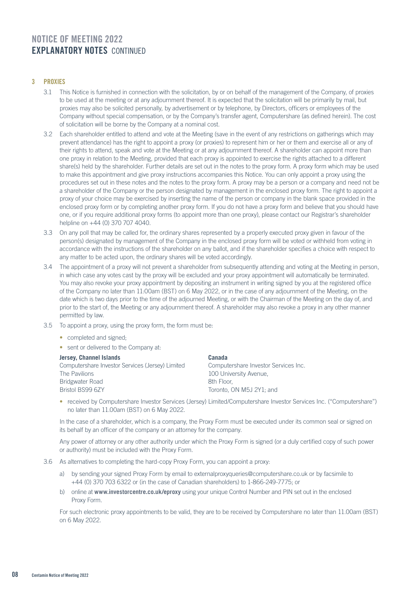## 3 PROXIES

- 3.1 This Notice is furnished in connection with the solicitation, by or on behalf of the management of the Company, of proxies to be used at the meeting or at any adjournment thereof. It is expected that the solicitation will be primarily by mail, but proxies may also be solicited personally, by advertisement or by telephone, by Directors, officers or employees of the Company without special compensation, or by the Company's transfer agent, Computershare (as defined herein). The cost of solicitation will be borne by the Company at a nominal cost.
- 3.2 Each shareholder entitled to attend and vote at the Meeting (save in the event of any restrictions on gatherings which may prevent attendance) has the right to appoint a proxy (or proxies) to represent him or her or them and exercise all or any of their rights to attend, speak and vote at the Meeting or at any adjournment thereof. A shareholder can appoint more than one proxy in relation to the Meeting, provided that each proxy is appointed to exercise the rights attached to a different share(s) held by the shareholder. Further details are set out in the notes to the proxy form. A proxy form which may be used to make this appointment and give proxy instructions accompanies this Notice. You can only appoint a proxy using the procedures set out in these notes and the notes to the proxy form. A proxy may be a person or a company and need not be a shareholder of the Company or the person designated by management in the enclosed proxy form. The right to appoint a proxy of your choice may be exercised by inserting the name of the person or company in the blank space provided in the enclosed proxy form or by completing another proxy form. If you do not have a proxy form and believe that you should have one, or if you require additional proxy forms (to appoint more than one proxy), please contact our Registrar's shareholder helpline on +44 (0) 370 707 4040.
- 3.3 On any poll that may be called for, the ordinary shares represented by a properly executed proxy given in favour of the person(s) designated by management of the Company in the enclosed proxy form will be voted or withheld from voting in accordance with the instructions of the shareholder on any ballot, and if the shareholder specifies a choice with respect to any matter to be acted upon, the ordinary shares will be voted accordingly.
- 3.4 The appointment of a proxy will not prevent a shareholder from subsequently attending and voting at the Meeting in person, in which case any votes cast by the proxy will be excluded and your proxy appointment will automatically be terminated. You may also revoke your proxy appointment by depositing an instrument in writing signed by you at the registered office of the Company no later than 11:00am (BST) on 6 May 2022, or in the case of any adjournment of the Meeting, on the date which is two days prior to the time of the adjourned Meeting, or with the Chairman of the Meeting on the day of, and prior to the start of, the Meeting or any adjournment thereof. A shareholder may also revoke a proxy in any other manner permitted by law.
- 3.5 To appoint a proxy, using the proxy form, the form must be:
	- completed and signed;
	- sent or delivered to the Company at:

| Jersey, Channel Islands                          | Canada                               |
|--------------------------------------------------|--------------------------------------|
| Computershare Investor Services (Jersey) Limited | Computershare Investor Services Inc. |
| The Pavilions                                    | 100 University Avenue.               |
| Bridgwater Road                                  | 8th Floor.                           |
| Bristol BS99 6ZY                                 | Toronto, ON M5J 2Y1; and             |

• received by Computershare Investor Services (Jersey) Limited/Computershare Investor Services Inc. ("Computershare") no later than 11.00am (BST) on 6 May 2022.

In the case of a shareholder, which is a company, the Proxy Form must be executed under its common seal or signed on its behalf by an officer of the company or an attorney for the company.

Any power of attorney or any other authority under which the Proxy Form is signed (or a duly certified copy of such power or authority) must be included with the Proxy Form.

- 3.6 As alternatives to completing the hard-copy Proxy Form, you can appoint a proxy:
	- a) by sending your signed Proxy Form by email to externalproxyqueries@computershare.co.uk or by facsimile to +44 (0) 370 703 6322 or (in the case of Canadian shareholders) to 1-866-249-7775; or
	- b) online at **www.investorcentre.co.uk/eproxy** using your unique Control Number and PIN set out in the enclosed Proxy Form.

For such electronic proxy appointments to be valid, they are to be received by Computershare no later than 11.00am (BST) on 6 May 2022.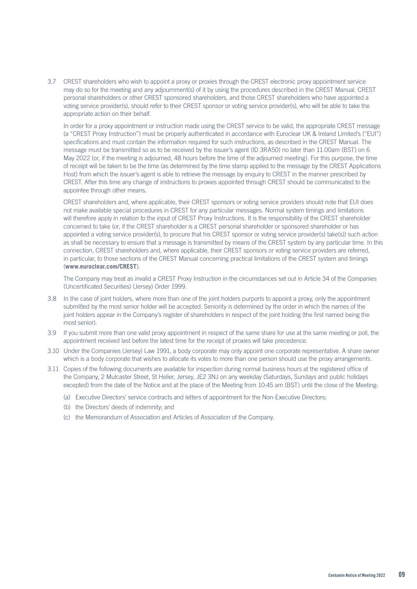3.7 CREST shareholders who wish to appoint a proxy or proxies through the CREST electronic proxy appointment service may do so for the meeting and any adjournment(s) of it by using the procedures described in the CREST Manual. CREST personal shareholders or other CREST sponsored shareholders, and those CREST shareholders who have appointed a voting service provider(s), should refer to their CREST sponsor or voting service provider(s), who will be able to take the appropriate action on their behalf.

In order for a proxy appointment or instruction made using the CREST service to be valid, the appropriate CREST message (a "CREST Proxy Instruction") must be properly authenticated in accordance with Euroclear UK & Ireland Limited's ("EUI") specifications and must contain the information required for such instructions, as described in the CREST Manual. The message must be transmitted so as to be received by the issuer's agent (ID 3RA50) no later than 11.00am (BST) on 6 May 2022 (or, if the meeting is adjourned, 48 hours before the time of the adjourned meeting). For this purpose, the time of receipt will be taken to be the time (as determined by the time stamp applied to the message by the CREST Applications Host) from which the issuer's agent is able to retrieve the message by enquiry to CREST in the manner prescribed by CREST. After this time any change of instructions to proxies appointed through CREST should be communicated to the appointee through other means.

CREST shareholders and, where applicable, their CREST sponsors or voting service providers should note that EUI does not make available special procedures in CREST for any particular messages. Normal system timings and limitations will therefore apply in relation to the input of CREST Proxy Instructions. It is the responsibility of the CREST shareholder concerned to take (or, if the CREST shareholder is a CREST personal shareholder or sponsored shareholder or has appointed a voting service provider(s), to procure that his CREST sponsor or voting service provider(s) take(s)) such action as shall be necessary to ensure that a message is transmitted by means of the CREST system by any particular time. In this connection, CREST shareholders and, where applicable, their CREST sponsors or voting service providers are referred, in particular, to those sections of the CREST Manual concerning practical limitations of the CREST system and timings (**www.euroclear.com/CREST**).

The Company may treat as invalid a CREST Proxy Instruction in the circumstances set out in Article 34 of the Companies (Uncertificated Securities) (Jersey) Order 1999.

- 3.8 In the case of joint holders, where more than one of the joint holders purports to appoint a proxy, only the appointment submitted by the most senior holder will be accepted. Seniority is determined by the order in which the names of the joint holders appear in the Company's register of shareholders in respect of the joint holding (the first named being the most senior).
- 3.9 If you submit more than one valid proxy appointment in respect of the same share for use at the same meeting or poll, the appointment received last before the latest time for the receipt of proxies will take precedence.
- 3.10 Under the Companies (Jersey) Law 1991, a body corporate may only appoint one corporate representative. A share owner which is a body corporate that wishes to allocate its votes to more than one person should use the proxy arrangements.
- 3.11 Copies of the following documents are available for inspection during normal business hours at the registered office of the Company, 2 Mulcaster Street, St Helier, Jersey, JE2 3NJ on any weekday (Saturdays, Sundays and public holidays excepted) from the date of the Notice and at the place of the Meeting from 10:45 am (BST) until the close of the Meeting:
	- (a) Executive Directors' service contracts and letters of appointment for the Non-Executive Directors;
	- (b) the Directors' deeds of indemnity; and
	- (c) the Memorandum of Association and Articles of Association of the Company.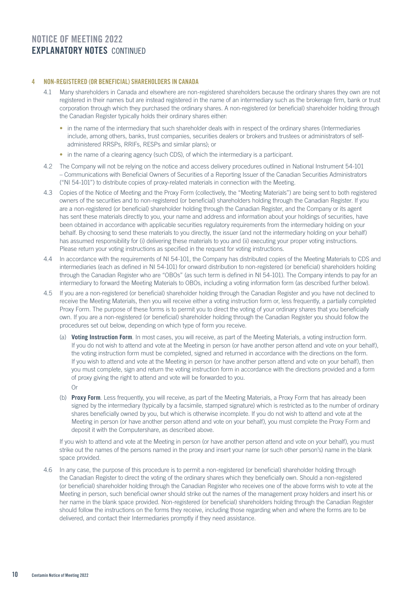## 4 NON-REGISTERED (OR BENEFICIAL) SHAREHOLDERS IN CANADA

- 4.1 Many shareholders in Canada and elsewhere are non-registered shareholders because the ordinary shares they own are not registered in their names but are instead registered in the name of an intermediary such as the brokerage firm, bank or trust corporation through which they purchased the ordinary shares. A non-registered (or beneficial) shareholder holding through the Canadian Register typically holds their ordinary shares either:
	- in the name of the intermediary that such shareholder deals with in respect of the ordinary shares (Intermediaries include, among others, banks, trust companies, securities dealers or brokers and trustees or administrators of selfadministered RRSPs, RRIFs, RESPs and similar plans); or
	- in the name of a clearing agency (such CDS), of which the intermediary is a participant.
- 4.2 The Company will not be relying on the notice and access delivery procedures outlined in National Instrument 54-101 – Communications with Beneficial Owners of Securities of a Reporting Issuer of the Canadian Securities Administrators ("NI 54-101") to distribute copies of proxy-related materials in connection with the Meeting.
- 4.3 Copies of the Notice of Meeting and the Proxy Form (collectively, the "Meeting Materials") are being sent to both registered owners of the securities and to non-registered (or beneficial) shareholders holding through the Canadian Register. If you are a non-registered (or beneficial) shareholder holding through the Canadian Register, and the Company or its agent has sent these materials directly to you, your name and address and information about your holdings of securities, have been obtained in accordance with applicable securities regulatory requirements from the intermediary holding on your behalf. By choosing to send these materials to you directly, the issuer (and not the intermediary holding on your behalf) has assumed responsibility for (i) delivering these materials to you and (ii) executing your proper voting instructions. Please return your voting instructions as specified in the request for voting instructions.
- 4.4 In accordance with the requirements of NI 54-101, the Company has distributed copies of the Meeting Materials to CDS and intermediaries (each as defined in NI 54-101) for onward distribution to non-registered (or beneficial) shareholders holding through the Canadian Register who are "OBOs" (as such term is defined in NI 54-101). The Company intends to pay for an intermediary to forward the Meeting Materials to OBOs, including a voting information form (as described further below).
- 4.5 If you are a non-registered (or beneficial) shareholder holding through the Canadian Register and you have not declined to receive the Meeting Materials, then you will receive either a voting instruction form or, less frequently, a partially completed Proxy Form. The purpose of these forms is to permit you to direct the voting of your ordinary shares that you beneficially own. If you are a non-registered (or beneficial) shareholder holding through the Canadian Register you should follow the procedures set out below, depending on which type of form you receive.
	- (a) **Voting Instruction Form**. In most cases, you will receive, as part of the Meeting Materials, a voting instruction form. If you do not wish to attend and vote at the Meeting in person (or have another person attend and vote on your behalf), the voting instruction form must be completed, signed and returned in accordance with the directions on the form. If you wish to attend and vote at the Meeting in person (or have another person attend and vote on your behalf), then you must complete, sign and return the voting instruction form in accordance with the directions provided and a form of proxy giving the right to attend and vote will be forwarded to you.
		- Or
	- (b) **Proxy Form**. Less frequently, you will receive, as part of the Meeting Materials, a Proxy Form that has already been signed by the intermediary (typically by a facsimile, stamped signature) which is restricted as to the number of ordinary shares beneficially owned by you, but which is otherwise incomplete. If you do not wish to attend and vote at the Meeting in person (or have another person attend and vote on your behalf), you must complete the Proxy Form and deposit it with the Computershare, as described above.

If you wish to attend and vote at the Meeting in person (or have another person attend and vote on your behalf), you must strike out the names of the persons named in the proxy and insert your name (or such other person's) name in the blank space provided.

4.6 In any case, the purpose of this procedure is to permit a non-registered (or beneficial) shareholder holding through the Canadian Register to direct the voting of the ordinary shares which they beneficially own. Should a non-registered (or beneficial) shareholder holding through the Canadian Register who receives one of the above forms wish to vote at the Meeting in person, such beneficial owner should strike out the names of the management proxy holders and insert his or her name in the blank space provided. Non-registered (or beneficial) shareholders holding through the Canadian Register should follow the instructions on the forms they receive, including those regarding when and where the forms are to be delivered, and contact their Intermediaries promptly if they need assistance.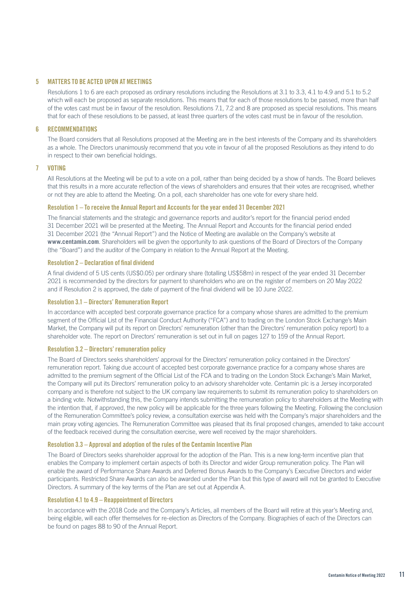## 5 MATTERS TO BE ACTED UPON AT MEETINGS

Resolutions 1 to 6 are each proposed as ordinary resolutions including the Resolutions at 3.1 to 3.3, 4.1 to 4.9 and 5.1 to 5.2 which will each be proposed as separate resolutions. This means that for each of those resolutions to be passed, more than half of the votes cast must be in favour of the resolution. Resolutions 7.1, 7.2 and 8 are proposed as special resolutions. This means that for each of these resolutions to be passed, at least three quarters of the votes cast must be in favour of the resolution.

## 6 RECOMMENDATIONS

The Board considers that all Resolutions proposed at the Meeting are in the best interests of the Company and its shareholders as a whole. The Directors unanimously recommend that you vote in favour of all the proposed Resolutions as they intend to do in respect to their own beneficial holdings.

## 7 VOTING

All Resolutions at the Meeting will be put to a vote on a poll, rather than being decided by a show of hands. The Board believes that this results in a more accurate reflection of the views of shareholders and ensures that their votes are recognised, whether or not they are able to attend the Meeting. On a poll, each shareholder has one vote for every share held.

### Resolution 1 – To receive the Annual Report and Accounts for the year ended 31 December 2021

The financial statements and the strategic and governance reports and auditor's report for the financial period ended 31 December 2021 will be presented at the Meeting. The Annual Report and Accounts for the financial period ended 31 December 2021 (the "Annual Report") and the Notice of Meeting are available on the Company's website at **www.centamin.com**. Shareholders will be given the opportunity to ask questions of the Board of Directors of the Company (the "Board") and the auditor of the Company in relation to the Annual Report at the Meeting.

## Resolution 2 – Declaration of final dividend

A final dividend of 5 US cents (US\$0.05) per ordinary share (totalling US\$58m) in respect of the year ended 31 December 2021 is recommended by the directors for payment to shareholders who are on the register of members on 20 May 2022 and if Resolution 2 is approved, the date of payment of the final dividend will be 10 June 2022.

### Resolution 3.1 – Directors' Remuneration Report

In accordance with accepted best corporate governance practice for a company whose shares are admitted to the premium segment of the Official List of the Financial Conduct Authority ("FCA") and to trading on the London Stock Exchange's Main Market, the Company will put its report on Directors' remuneration (other than the Directors' remuneration policy report) to a shareholder vote. The report on Directors' remuneration is set out in full on pages 127 to 159 of the Annual Report.

### Resolution 3.2 – Directors' remuneration policy

The Board of Directors seeks shareholders' approval for the Directors' remuneration policy contained in the Directors' remuneration report. Taking due account of accepted best corporate governance practice for a company whose shares are admitted to the premium segment of the Official List of the FCA and to trading on the London Stock Exchange's Main Market, the Company will put its Directors' remuneration policy to an advisory shareholder vote. Centamin plc is a Jersey incorporated company and is therefore not subject to the UK company law requirements to submit its remuneration policy to shareholders on a binding vote. Notwithstanding this, the Company intends submitting the remuneration policy to shareholders at the Meeting with the intention that, if approved, the new policy will be applicable for the three years following the Meeting. Following the conclusion of the Remuneration Committee's policy review, a consultation exercise was held with the Company's major shareholders and the main proxy voting agencies. The Remuneration Committee was pleased that its final proposed changes, amended to take account of the feedback received during the consultation exercise, were well received by the major shareholders.

### Resolution 3.3 – Approval and adoption of the rules of the Centamin Incentive Plan

The Board of Directors seeks shareholder approval for the adoption of the Plan. This is a new long-term incentive plan that enables the Company to implement certain aspects of both its Director and wider Group remuneration policy. The Plan will enable the award of Performance Share Awards and Deferred Bonus Awards to the Company's Executive Directors and wider participants. Restricted Share Awards can also be awarded under the Plan but this type of award will not be granted to Executive Directors. A summary of the key terms of the Plan are set out at Appendix A.

## Resolution 4.1 to 4.9 – Reappointment of Directors

In accordance with the 2018 Code and the Company's Articles, all members of the Board will retire at this year's Meeting and, being eligible, will each offer themselves for re-election as Directors of the Company. Biographies of each of the Directors can be found on pages 88 to 90 of the Annual Report.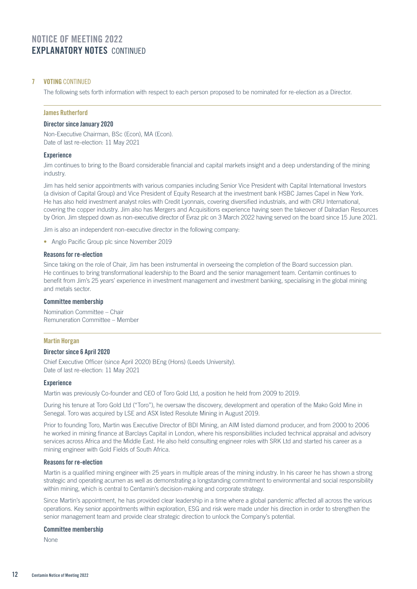## 7 VOTING CONTINUED

The following sets forth information with respect to each person proposed to be nominated for re-election as a Director.

## James Rutherford

## Director since January 2020

Non-Executive Chairman, BSc (Econ), MA (Econ). Date of last re-election: 11 May 2021

### **Experience**

Jim continues to bring to the Board considerable financial and capital markets insight and a deep understanding of the mining industry.

Jim has held senior appointments with various companies including Senior Vice President with Capital International Investors (a division of Capital Group) and Vice President of Equity Research at the investment bank HSBC James Capel in New York. He has also held investment analyst roles with Credit Lyonnais, covering diversified industrials, and with CRU International, covering the copper industry. Jim also has Mergers and Acquisitions experience having seen the takeover of Dalradian Resources by Orion. Jim stepped down as non-executive director of Evraz plc on 3 March 2022 having served on the board since 15 June 2021.

Jim is also an independent non-executive director in the following company:

• Anglo Pacific Group plc since November 2019

#### Reasons for re-election

Since taking on the role of Chair, Jim has been instrumental in overseeing the completion of the Board succession plan. He continues to bring transformational leadership to the Board and the senior management team. Centamin continues to benefit from Jim's 25 years' experience in investment management and investment banking, specialising in the global mining and metals sector.

### Committee membership

Nomination Committee – Chair Remuneration Committee – Member

### Martin Horgan

## Director since 6 April 2020

Chief Executive Officer (since April 2020) BEng (Hons) (Leeds University). Date of last re-election: 11 May 2021

## **Experience**

Martin was previously Co-founder and CEO of Toro Gold Ltd, a position he held from 2009 to 2019.

During his tenure at Toro Gold Ltd ("Toro"), he oversaw the discovery, development and operation of the Mako Gold Mine in Senegal. Toro was acquired by LSE and ASX listed Resolute Mining in August 2019.

Prior to founding Toro, Martin was Executive Director of BDI Mining, an AIM listed diamond producer, and from 2000 to 2006 he worked in mining finance at Barclays Capital in London, where his responsibilities included technical appraisal and advisory services across Africa and the Middle East. He also held consulting engineer roles with SRK Ltd and started his career as a mining engineer with Gold Fields of South Africa.

## Reasons for re-election

Martin is a qualified mining engineer with 25 years in multiple areas of the mining industry. In his career he has shown a strong strategic and operating acumen as well as demonstrating a longstanding commitment to environmental and social responsibility within mining, which is central to Centamin's decision-making and corporate strategy.

Since Martin's appointment, he has provided clear leadership in a time where a global pandemic affected all across the various operations. Key senior appointments within exploration, ESG and risk were made under his direction in order to strengthen the senior management team and provide clear strategic direction to unlock the Company's potential.

#### Committee membership

None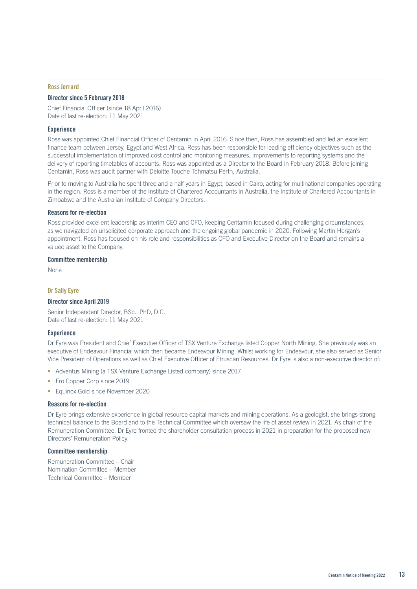#### Ross Jerrard

### Director since 5 February 2018

Chief Financial Officer (since 18 April 2016) Date of last re-election: 11 May 2021

#### **Experience**

Ross was appointed Chief Financial Officer of Centamin in April 2016. Since then, Ross has assembled and led an excellent finance team between Jersey, Egypt and West Africa. Ross has been responsible for leading efficiency objectives such as the successful implementation of improved cost control and monitoring measures, improvements to reporting systems and the delivery of reporting timetables of accounts. Ross was appointed as a Director to the Board in February 2018. Before joining Centamin, Ross was audit partner with Deloitte Touche Tohmatsu Perth, Australia.

Prior to moving to Australia he spent three and a half years in Egypt, based in Cairo, acting for multinational companies operating in the region. Ross is a member of the Institute of Chartered Accountants in Australia, the Institute of Chartered Accountants in Zimbabwe and the Australian Institute of Company Directors.

### Reasons for re-election

Ross provided excellent leadership as interim CEO and CFO, keeping Centamin focused during challenging circumstances, as we navigated an unsolicited corporate approach and the ongoing global pandemic in 2020. Following Martin Horgan's appointment, Ross has focused on his role and responsibilities as CFO and Executive Director on the Board and remains a valued asset to the Company.

#### Committee membership

None

## Dr Sally Eyre

### Director since April 2019

Senior Independent Director, BSc., PhD, DIC. Date of last re-election: 11 May 2021

## **Experience**

Dr Eyre was President and Chief Executive Officer of TSX Venture Exchange listed Copper North Mining. She previously was an executive of Endeavour Financial which then became Endeavour Mining. Whilst working for Endeavour, she also served as Senior Vice President of Operations as well as Chief Executive Officer of Etruscan Resources. Dr Eyre is also a non-executive director of:

- Adventus Mining (a TSX Venture Exchange Listed company) since 2017
- Ero Copper Corp since 2019
- Equinox Gold since November 2020

#### Reasons for re-election

Dr Eyre brings extensive experience in global resource capital markets and mining operations. As a geologist, she brings strong technical balance to the Board and to the Technical Committee which oversaw the life of asset review in 2021. As chair of the Remuneration Committee, Dr Eyre fronted the shareholder consultation process in 2021 in preparation for the proposed new Directors' Remuneration Policy.

#### Committee membership

Remuneration Committee – Chair Nomination Committee – Member Technical Committee – Member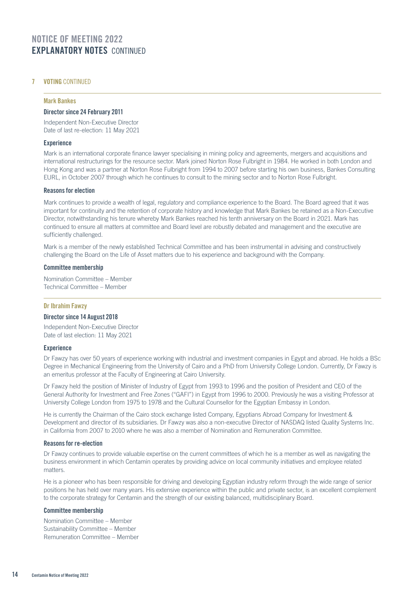## 7 VOTING CONTINUED

#### Mark Bankes

### Director since 24 February 2011

Independent Non-Executive Director Date of last re-election: 11 May 2021

### **Experience**

Mark is an international corporate finance lawyer specialising in mining policy and agreements, mergers and acquisitions and international restructurings for the resource sector. Mark joined Norton Rose Fulbright in 1984. He worked in both London and Hong Kong and was a partner at Norton Rose Fulbright from 1994 to 2007 before starting his own business, Bankes Consulting EURL, in October 2007 through which he continues to consult to the mining sector and to Norton Rose Fulbright.

### Reasons for election

Mark continues to provide a wealth of legal, regulatory and compliance experience to the Board. The Board agreed that it was important for continuity and the retention of corporate history and knowledge that Mark Bankes be retained as a Non-Executive Director, notwithstanding his tenure whereby Mark Bankes reached his tenth anniversary on the Board in 2021. Mark has continued to ensure all matters at committee and Board level are robustly debated and management and the executive are sufficiently challenged.

Mark is a member of the newly established Technical Committee and has been instrumental in advising and constructively challenging the Board on the Life of Asset matters due to his experience and background with the Company.

#### Committee membership

Nomination Committee – Member Technical Committee – Member

### Dr Ibrahim Fawzy

## Director since 14 August 2018

Independent Non-Executive Director Date of last election: 11 May 2021

## **Experience**

Dr Fawzy has over 50 years of experience working with industrial and investment companies in Egypt and abroad. He holds a BSc Degree in Mechanical Engineering from the University of Cairo and a PhD from University College London. Currently, Dr Fawzy is an emeritus professor at the Faculty of Engineering at Cairo University.

Dr Fawzy held the position of Minister of Industry of Egypt from 1993 to 1996 and the position of President and CEO of the General Authority for Investment and Free Zones ("GAFI") in Egypt from 1996 to 2000. Previously he was a visiting Professor at University College London from 1975 to 1978 and the Cultural Counsellor for the Egyptian Embassy in London.

He is currently the Chairman of the Cairo stock exchange listed Company, Egyptians Abroad Company for Investment & Development and director of its subsidiaries. Dr Fawzy was also a non-executive Director of NASDAQ listed Quality Systems Inc. in California from 2007 to 2010 where he was also a member of Nomination and Remuneration Committee.

### Reasons for re-election

Dr Fawzy continues to provide valuable expertise on the current committees of which he is a member as well as navigating the business environment in which Centamin operates by providing advice on local community initiatives and employee related matters.

He is a pioneer who has been responsible for driving and developing Egyptian industry reform through the wide range of senior positions he has held over many years. His extensive experience within the public and private sector, is an excellent complement to the corporate strategy for Centamin and the strength of our existing balanced, multidisciplinary Board.

## Committee membership

Nomination Committee – Member Sustainability Committee – Member Remuneration Committee – Member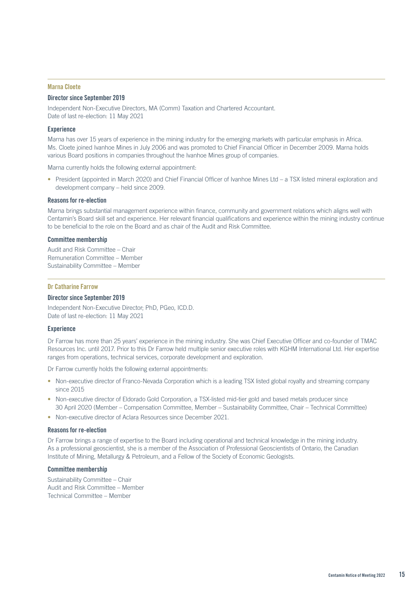#### Marna Cloete

### Director since September 2019

Independent Non-Executive Directors, MA (Comm) Taxation and Chartered Accountant. Date of last re-election: 11 May 2021

#### **Experience**

Marna has over 15 years of experience in the mining industry for the emerging markets with particular emphasis in Africa. Ms. Cloete joined Ivanhoe Mines in July 2006 and was promoted to Chief Financial Officer in December 2009. Marna holds various Board positions in companies throughout the Ivanhoe Mines group of companies.

Marna currently holds the following external appointment:

• President (appointed in March 2020) and Chief Financial Officer of Ivanhoe Mines Ltd – a TSX listed mineral exploration and development company – held since 2009.

#### Reasons for re-election

Marna brings substantial management experience within finance, community and government relations which aligns well with Centamin's Board skill set and experience. Her relevant financial qualifications and experience within the mining industry continue to be beneficial to the role on the Board and as chair of the Audit and Risk Committee.

#### Committee membership

Audit and Risk Committee – Chair Remuneration Committee – Member Sustainability Committee – Member

#### Dr Catharine Farrow

#### Director since September 2019

Independent Non-Executive Director; PhD, PGeo, ICD.D. Date of last re-election: 11 May 2021

#### **Experience**

Dr Farrow has more than 25 years' experience in the mining industry. She was Chief Executive Officer and co-founder of TMAC Resources Inc. until 2017. Prior to this Dr Farrow held multiple senior executive roles with KGHM International Ltd. Her expertise ranges from operations, technical services, corporate development and exploration.

Dr Farrow currently holds the following external appointments:

- Non-executive director of Franco-Nevada Corporation which is a leading TSX listed global royalty and streaming company since 2015
- Non-executive director of Eldorado Gold Corporation, a TSX-listed mid-tier gold and based metals producer since 30 April 2020 (Member – Compensation Committee, Member – Sustainability Committee, Chair – Technical Committee)
- Non-executive director of Aclara Resources since December 2021.

## Reasons for re-election

Dr Farrow brings a range of expertise to the Board including operational and technical knowledge in the mining industry. As a professional geoscientist, she is a member of the Association of Professional Geoscientists of Ontario, the Canadian Institute of Mining, Metallurgy & Petroleum, and a Fellow of the Society of Economic Geologists.

## Committee membership

Sustainability Committee – Chair Audit and Risk Committee – Member Technical Committee – Member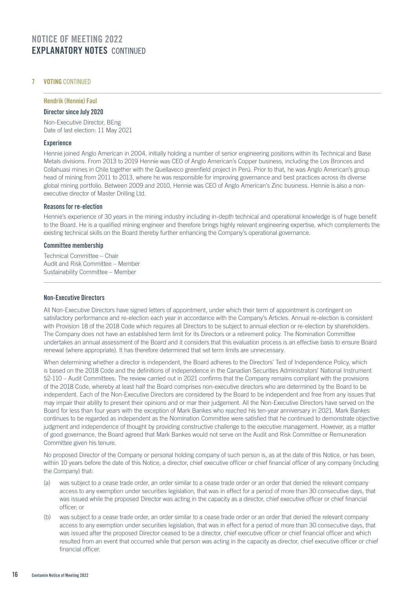## **7 VOTING CONTINUED**

## Hendrik (Hennie) Faul

## Director since July 2020

Non-Executive Director, BEng Date of last election: 11 May 2021

## **Experience**

Hennie joined Anglo American in 2004, initially holding a number of senior engineering positions within its Technical and Base Metals divisions. From 2013 to 2019 Hennie was CEO of Anglo American's Copper business, including the Los Bronces and Collahuasi mines in Chile together with the Quellaveco greenfield project in Perú. Prior to that, he was Anglo American's group head of mining from 2011 to 2013, where he was responsible for improving governance and best practices across its diverse global mining portfolio. Between 2009 and 2010, Hennie was CEO of Anglo American's Zinc business. Hennie is also a nonexecutive director of Master Drilling Ltd.

## Reasons for re-election

Hennie's experience of 30 years in the mining industry including in-depth technical and operational knowledge is of huge benefit to the Board. He is a qualified mining engineer and therefore brings highly relevant engineering expertise, which complements the existing technical skills on the Board thereby further enhancing the Company's operational governance.

## Committee membership

 Technical Committee – Chair Audit and Risk Committee – Member Sustainability Committee – Member

### Non-Executive Directors

All Non-Executive Directors have signed letters of appointment, under which their term of appointment is contingent on satisfactory performance and re-election each year in accordance with the Company's Articles. Annual re-election is consistent with Provision 18 of the 2018 Code which requires all Directors to be subject to annual election or re-election by shareholders. The Company does not have an established term limit for its Directors or a retirement policy. The Nomination Committee undertakes an annual assessment of the Board and it considers that this evaluation process is an effective basis to ensure Board renewal (where appropriate). It has therefore determined that set term limits are unnecessary.

When determining whether a director is independent, the Board adheres to the Directors' Test of Independence Policy, which is based on the 2018 Code and the definitions of independence in the Canadian Securities Administrators' National Instrument 52-110 – Audit Committees. The review carried out in 2021 confirms that the Company remains compliant with the provisions of the 2018 Code, whereby at least half the Board comprises non-executive directors who are determined by the Board to be independent. Each of the Non-Executive Directors are considered by the Board to be independent and free from any issues that may impair their ability to present their opinions and or mar their judgement. All the Non-Executive Directors have served on the Board for less than four years with the exception of Mark Bankes who reached his ten-year anniversary in 2021. Mark Bankes continues to be regarded as independent as the Nomination Committee were satisfied that he continued to demonstrate objective judgment and independence of thought by providing constructive challenge to the executive management. However, as a matter of good governance, the Board agreed that Mark Bankes would not serve on the Audit and Risk Committee or Remuneration Committee given his tenure.

No proposed Director of the Company or personal holding company of such person is, as at the date of this Notice, or has been, within 10 years before the date of this Notice, a director, chief executive officer or chief financial officer of any company (including the Company) that:

- (a) was subject to a cease trade order, an order similar to a cease trade order or an order that denied the relevant company access to any exemption under securities legislation, that was in effect for a period of more than 30 consecutive days, that was issued while the proposed Director was acting in the capacity as a director, chief executive officer or chief financial officer; or
- (b) was subject to a cease trade order, an order similar to a cease trade order or an order that denied the relevant company access to any exemption under securities legislation, that was in effect for a period of more than 30 consecutive days, that was issued after the proposed Director ceased to be a director, chief executive officer or chief financial officer and which resulted from an event that occurred while that person was acting in the capacity as director, chief executive officer or chief financial officer.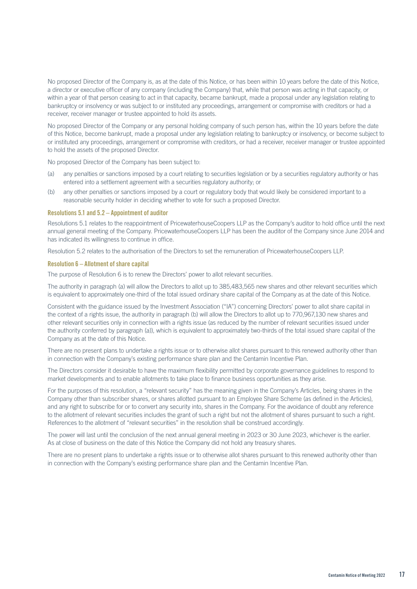No proposed Director of the Company is, as at the date of this Notice, or has been within 10 years before the date of this Notice, a director or executive officer of any company (including the Company) that, while that person was acting in that capacity, or within a year of that person ceasing to act in that capacity, became bankrupt, made a proposal under any legislation relating to bankruptcy or insolvency or was subject to or instituted any proceedings, arrangement or compromise with creditors or had a receiver, receiver manager or trustee appointed to hold its assets.

No proposed Director of the Company or any personal holding company of such person has, within the 10 years before the date of this Notice, become bankrupt, made a proposal under any legislation relating to bankruptcy or insolvency, or become subject to or instituted any proceedings, arrangement or compromise with creditors, or had a receiver, receiver manager or trustee appointed to hold the assets of the proposed Director.

No proposed Director of the Company has been subject to:

- (a) any penalties or sanctions imposed by a court relating to securities legislation or by a securities regulatory authority or has entered into a settlement agreement with a securities regulatory authority; or
- (b) any other penalties or sanctions imposed by a court or regulatory body that would likely be considered important to a reasonable security holder in deciding whether to vote for such a proposed Director.

#### Resolutions 5.1 and 5.2 – Appointment of auditor

Resolutions 5.1 relates to the reappointment of PricewaterhouseCoopers LLP as the Company's auditor to hold office until the next annual general meeting of the Company. PricewaterhouseCoopers LLP has been the auditor of the Company since June 2014 and has indicated its willingness to continue in office.

Resolution 5.2 relates to the authorisation of the Directors to set the remuneration of PricewaterhouseCoopers LLP.

#### Resolution 6 – Allotment of share capital

The purpose of Resolution 6 is to renew the Directors' power to allot relevant securities.

The authority in paragraph (a) will allow the Directors to allot up to 385,483,565 new shares and other relevant securities which is equivalent to approximately one-third of the total issued ordinary share capital of the Company as at the date of this Notice.

Consistent with the guidance issued by the Investment Association ("IA") concerning Directors' power to allot share capital in the context of a rights issue, the authority in paragraph (b) will allow the Directors to allot up to 770,967,130 new shares and other relevant securities only in connection with a rights issue (as reduced by the number of relevant securities issued under the authority conferred by paragraph (a)), which is equivalent to approximately two-thirds of the total issued share capital of the Company as at the date of this Notice.

There are no present plans to undertake a rights issue or to otherwise allot shares pursuant to this renewed authority other than in connection with the Company's existing performance share plan and the Centamin Incentive Plan.

The Directors consider it desirable to have the maximum flexibility permitted by corporate governance guidelines to respond to market developments and to enable allotments to take place to finance business opportunities as they arise.

For the purposes of this resolution, a "relevant security" has the meaning given in the Company's Articles, being shares in the Company other than subscriber shares, or shares allotted pursuant to an Employee Share Scheme (as defined in the Articles), and any right to subscribe for or to convert any security into, shares in the Company. For the avoidance of doubt any reference to the allotment of relevant securities includes the grant of such a right but not the allotment of shares pursuant to such a right. References to the allotment of "relevant securities" in the resolution shall be construed accordingly.

The power will last until the conclusion of the next annual general meeting in 2023 or 30 June 2023, whichever is the earlier. As at close of business on the date of this Notice the Company did not hold any treasury shares.

There are no present plans to undertake a rights issue or to otherwise allot shares pursuant to this renewed authority other than in connection with the Company's existing performance share plan and the Centamin Incentive Plan.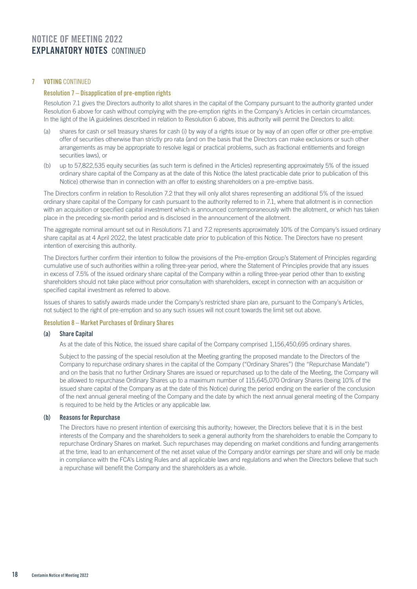## **7 VOTING CONTINUED**

### Resolution 7 – Disapplication of pre-emption rights

Resolution 7.1 gives the Directors authority to allot shares in the capital of the Company pursuant to the authority granted under Resolution 6 above for cash without complying with the pre-emption rights in the Company's Articles in certain circumstances. In the light of the IA guidelines described in relation to Resolution 6 above, this authority will permit the Directors to allot:

- (a) shares for cash or sell treasury shares for cash (i) by way of a rights issue or by way of an open offer or other pre-emptive offer of securities otherwise than strictly pro rata (and on the basis that the Directors can make exclusions or such other arrangements as may be appropriate to resolve legal or practical problems, such as fractional entitlements and foreign securities laws), or
- (b) up to 57,822,535 equity securities (as such term is defined in the Articles) representing approximately 5% of the issued ordinary share capital of the Company as at the date of this Notice (the latest practicable date prior to publication of this Notice) otherwise than in connection with an offer to existing shareholders on a pre-emptive basis.

The Directors confirm in relation to Resolution 7.2 that they will only allot shares representing an additional 5% of the issued ordinary share capital of the Company for cash pursuant to the authority referred to in 7.1, where that allotment is in connection with an acquisition or specified capital investment which is announced contemporaneously with the allotment, or which has taken place in the preceding six-month period and is disclosed in the announcement of the allotment.

The aggregate nominal amount set out in Resolutions 7.1 and 7.2 represents approximately 10% of the Company's issued ordinary share capital as at 4 April 2022, the latest practicable date prior to publication of this Notice. The Directors have no present intention of exercising this authority.

The Directors further confirm their intention to follow the provisions of the Pre-emption Group's Statement of Principles regarding cumulative use of such authorities within a rolling three-year period, where the Statement of Principles provide that any issues in excess of 7.5% of the issued ordinary share capital of the Company within a rolling three-year period other than to existing shareholders should not take place without prior consultation with shareholders, except in connection with an acquisition or specified capital investment as referred to above.

Issues of shares to satisfy awards made under the Company's restricted share plan are, pursuant to the Company's Articles, not subject to the right of pre-emption and so any such issues will not count towards the limit set out above.

### Resolution 8 – Market Purchases of Ordinary Shares

## (a) Share Capital

As at the date of this Notice, the issued share capital of the Company comprised 1,156,450,695 ordinary shares.

Subject to the passing of the special resolution at the Meeting granting the proposed mandate to the Directors of the Company to repurchase ordinary shares in the capital of the Company ("Ordinary Shares") (the "Repurchase Mandate") and on the basis that no further Ordinary Shares are issued or repurchased up to the date of the Meeting, the Company will be allowed to repurchase Ordinary Shares up to a maximum number of 115,645,070 Ordinary Shares (being 10% of the issued share capital of the Company as at the date of this Notice) during the period ending on the earlier of the conclusion of the next annual general meeting of the Company and the date by which the next annual general meeting of the Company is required to be held by the Articles or any applicable law.

### (b) Reasons for Repurchase

The Directors have no present intention of exercising this authority; however, the Directors believe that it is in the best interests of the Company and the shareholders to seek a general authority from the shareholders to enable the Company to repurchase Ordinary Shares on market. Such repurchases may depending on market conditions and funding arrangements at the time, lead to an enhancement of the net asset value of the Company and/or earnings per share and will only be made in compliance with the FCA's Listing Rules and all applicable laws and regulations and when the Directors believe that such a repurchase will benefit the Company and the shareholders as a whole.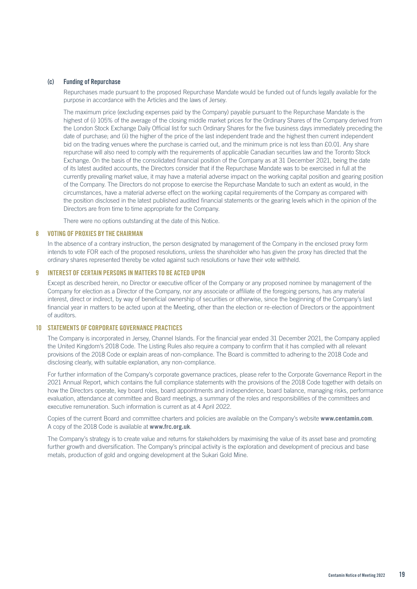## (c) Funding of Repurchase

Repurchases made pursuant to the proposed Repurchase Mandate would be funded out of funds legally available for the purpose in accordance with the Articles and the laws of Jersey.

The maximum price (excluding expenses paid by the Company) payable pursuant to the Repurchase Mandate is the highest of (i) 105% of the average of the closing middle market prices for the Ordinary Shares of the Company derived from the London Stock Exchange Daily Official list for such Ordinary Shares for the five business days immediately preceding the date of purchase; and (ii) the higher of the price of the last independent trade and the highest then current independent bid on the trading venues where the purchase is carried out, and the minimum price is not less than £0.01. Any share repurchase will also need to comply with the requirements of applicable Canadian securities law and the Toronto Stock Exchange. On the basis of the consolidated financial position of the Company as at 31 December 2021, being the date of its latest audited accounts, the Directors consider that if the Repurchase Mandate was to be exercised in full at the currently prevailing market value, it may have a material adverse impact on the working capital position and gearing position of the Company. The Directors do not propose to exercise the Repurchase Mandate to such an extent as would, in the circumstances, have a material adverse effect on the working capital requirements of the Company as compared with the position disclosed in the latest published audited financial statements or the gearing levels which in the opinion of the Directors are from time to time appropriate for the Company.

There were no options outstanding at the date of this Notice.

### 8 VOTING OF PROXIES BY THE CHAIRMAN

In the absence of a contrary instruction, the person designated by management of the Company in the enclosed proxy form intends to vote FOR each of the proposed resolutions, unless the shareholder who has given the proxy has directed that the ordinary shares represented thereby be voted against such resolutions or have their vote withheld.

## 9 INTEREST OF CERTAIN PERSONS IN MATTERS TO BE ACTED UPON

Except as described herein, no Director or executive officer of the Company or any proposed nominee by management of the Company for election as a Director of the Company, nor any associate or affiliate of the foregoing persons, has any material interest, direct or indirect, by way of beneficial ownership of securities or otherwise, since the beginning of the Company's last financial year in matters to be acted upon at the Meeting, other than the election or re-election of Directors or the appointment of auditors.

## 10 STATEMENTS OF CORPORATE GOVERNANCE PRACTICES

The Company is incorporated in Jersey, Channel Islands. For the financial year ended 31 December 2021, the Company applied the United Kingdom's 2018 Code. The Listing Rules also require a company to confirm that it has complied with all relevant provisions of the 2018 Code or explain areas of non-compliance. The Board is committed to adhering to the 2018 Code and disclosing clearly, with suitable explanation, any non-compliance.

For further information of the Company's corporate governance practices, please refer to the Corporate Governance Report in the 2021 Annual Report, which contains the full compliance statements with the provisions of the 2018 Code together with details on how the Directors operate, key board roles, board appointments and independence, board balance, managing risks, performance evaluation, attendance at committee and Board meetings, a summary of the roles and responsibilities of the committees and executive remuneration. Such information is current as at 4 April 2022.

Copies of the current Board and committee charters and policies are available on the Company's website **www.centamin.com**. A copy of the 2018 Code is available at **www.frc.org.uk**.

The Company's strategy is to create value and returns for stakeholders by maximising the value of its asset base and promoting further growth and diversification. The Company's principal activity is the exploration and development of precious and base metals, production of gold and ongoing development at the Sukari Gold Mine.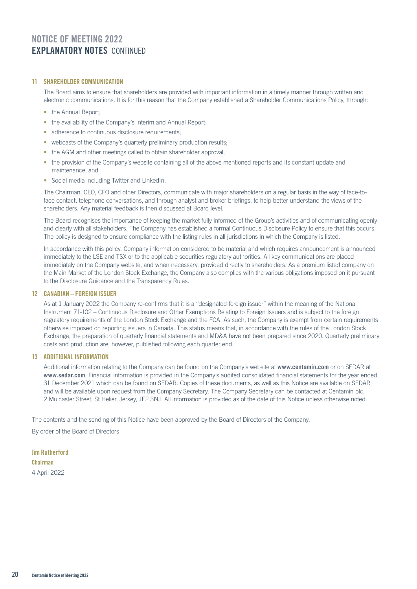## 11 SHARFHOLDER COMMUNICATION

The Board aims to ensure that shareholders are provided with important information in a timely manner through written and electronic communications. It is for this reason that the Company established a Shareholder Communications Policy, through:

- the Annual Report:
- the availability of the Company's Interim and Annual Report:
- adherence to continuous disclosure requirements:
- webcasts of the Company's quarterly preliminary production results;
- the AGM and other meetings called to obtain shareholder approval;
- the provision of the Company's website containing all of the above mentioned reports and its constant update and maintenance; and
- Social media including Twitter and LinkedIn.

The Chairman, CEO, CFO and other Directors, communicate with major shareholders on a regular basis in the way of face-toface contact, telephone conversations, and through analyst and broker briefings, to help better understand the views of the shareholders. Any material feedback is then discussed at Board level.

The Board recognises the importance of keeping the market fully informed of the Group's activities and of communicating openly and clearly with all stakeholders. The Company has established a formal Continuous Disclosure Policy to ensure that this occurs. The policy is designed to ensure compliance with the listing rules in all jurisdictions in which the Company is listed.

In accordance with this policy, Company information considered to be material and which requires announcement is announced immediately to the LSE and TSX or to the applicable securities regulatory authorities. All key communications are placed immediately on the Company website, and when necessary, provided directly to shareholders. As a premium listed company on the Main Market of the London Stock Exchange, the Company also complies with the various obligations imposed on it pursuant to the Disclosure Guidance and the Transparency Rules.

## 12 CANADIAN – FOREIGN ISSUER

As at 1 January 2022 the Company re-confirms that it is a "designated foreign issuer" within the meaning of the National Instrument 71-102 – Continuous Disclosure and Other Exemptions Relating to Foreign Issuers and is subject to the foreign regulatory requirements of the London Stock Exchange and the FCA. As such, the Company is exempt from certain requirements otherwise imposed on reporting issuers in Canada. This status means that, in accordance with the rules of the London Stock Exchange, the preparation of quarterly financial statements and MD&A have not been prepared since 2020. Quarterly preliminary costs and production are, however, published following each quarter end.

## 13 ADDITIONAL INFORMATION

Additional information relating to the Company can be found on the Company's website at **www.centamin.com** or on SEDAR at **www.sedar.com**. Financial information is provided in the Company's audited consolidated financial statements for the year ended 31 December 2021 which can be found on SEDAR. Copies of these documents, as well as this Notice are available on SEDAR and will be available upon request from the Company Secretary. The Company Secretary can be contacted at Centamin plc, 2 Mulcaster Street, St Helier, Jersey, JE2 3NJ. All information is provided as of the date of this Notice unless otherwise noted.

The contents and the sending of this Notice have been approved by the Board of Directors of the Company.

By order of the Board of Directors

**Jim Rutherford** Chairman 4 April 2022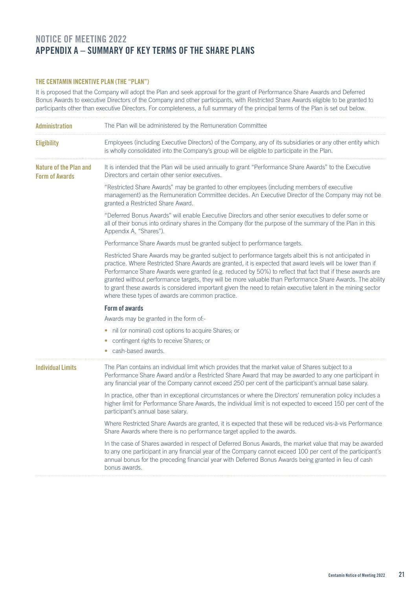## NOTICE OF MEETING 2022 APPENDIX A – SUMMARY OF KEY TERMS OF THE SHARE PLANS

## THE CENTAMIN INCENTIVE PLAN (THE "PLAN")

It is proposed that the Company will adopt the Plan and seek approval for the grant of Performance Share Awards and Deferred Bonus Awards to executive Directors of the Company and other participants, with Restricted Share Awards eligible to be granted to participants other than executive Directors. For completeness, a full summary of the principal terms of the Plan is set out below.

| <b>Administration</b>                           | The Plan will be administered by the Remuneration Committee                                                                                                                                                                                                                                                                                                                                                                                                                                                                                                                                                           |
|-------------------------------------------------|-----------------------------------------------------------------------------------------------------------------------------------------------------------------------------------------------------------------------------------------------------------------------------------------------------------------------------------------------------------------------------------------------------------------------------------------------------------------------------------------------------------------------------------------------------------------------------------------------------------------------|
| <b>Eligibility</b>                              | Employees (including Executive Directors) of the Company, any of its subsidiaries or any other entity which<br>is wholly consolidated into the Company's group will be eligible to participate in the Plan.                                                                                                                                                                                                                                                                                                                                                                                                           |
| Nature of the Plan and<br><b>Form of Awards</b> | It is intended that the Plan will be used annually to grant "Performance Share Awards" to the Executive<br>Directors and certain other senior executives.                                                                                                                                                                                                                                                                                                                                                                                                                                                             |
|                                                 | "Restricted Share Awards" may be granted to other employees (including members of executive<br>management) as the Remuneration Committee decides. An Executive Director of the Company may not be<br>granted a Restricted Share Award.                                                                                                                                                                                                                                                                                                                                                                                |
|                                                 | "Deferred Bonus Awards" will enable Executive Directors and other senior executives to defer some or<br>all of their bonus into ordinary shares in the Company (for the purpose of the summary of the Plan in this<br>Appendix A, "Shares").                                                                                                                                                                                                                                                                                                                                                                          |
|                                                 | Performance Share Awards must be granted subject to performance targets.                                                                                                                                                                                                                                                                                                                                                                                                                                                                                                                                              |
|                                                 | Restricted Share Awards may be granted subject to performance targets albeit this is not anticipated in<br>practice. Where Restricted Share Awards are granted, it is expected that award levels will be lower than if<br>Performance Share Awards were granted (e.g. reduced by 50%) to reflect that fact that if these awards are<br>granted without performance targets, they will be more valuable than Performance Share Awards. The ability<br>to grant these awards is considered important given the need to retain executive talent in the mining sector<br>where these types of awards are common practice. |
|                                                 | Form of awards                                                                                                                                                                                                                                                                                                                                                                                                                                                                                                                                                                                                        |
|                                                 | Awards may be granted in the form of:-                                                                                                                                                                                                                                                                                                                                                                                                                                                                                                                                                                                |
|                                                 | • nil (or nominal) cost options to acquire Shares; or                                                                                                                                                                                                                                                                                                                                                                                                                                                                                                                                                                 |
|                                                 | contingent rights to receive Shares; or<br>cash-based awards.                                                                                                                                                                                                                                                                                                                                                                                                                                                                                                                                                         |
| <b>Individual Limits</b>                        | The Plan contains an individual limit which provides that the market value of Shares subject to a<br>Performance Share Award and/or a Restricted Share Award that may be awarded to any one participant in<br>any financial year of the Company cannot exceed 250 per cent of the participant's annual base salary.                                                                                                                                                                                                                                                                                                   |
|                                                 | In practice, other than in exceptional circumstances or where the Directors' remuneration policy includes a<br>higher limit for Performance Share Awards, the individual limit is not expected to exceed 150 per cent of the<br>participant's annual base salary.                                                                                                                                                                                                                                                                                                                                                     |
|                                                 | Where Restricted Share Awards are granted, it is expected that these will be reduced vis-à-vis Performance<br>Share Awards where there is no performance target applied to the awards.                                                                                                                                                                                                                                                                                                                                                                                                                                |
|                                                 | In the case of Shares awarded in respect of Deferred Bonus Awards, the market value that may be awarded<br>to any one participant in any financial year of the Company cannot exceed 100 per cent of the participant's<br>annual bonus for the preceding financial year with Deferred Bonus Awards being granted in lieu of cash<br>bonus awards.                                                                                                                                                                                                                                                                     |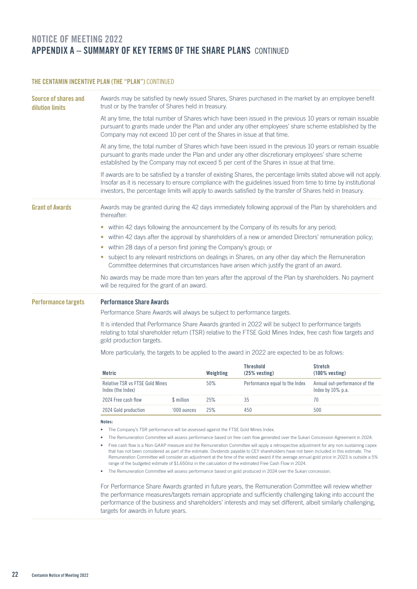## NOTICE OF MEETING 2022 APPENDIX A – SUMMARY OF KEY TERMS OF THE SHARE PLANS CONTINUED

## THE CENTAMIN INCENTIVE PLAN (THE "PLAN") CONTINUED

| Source of shares and<br>dilution limits | Awards may be satisfied by newly issued Shares, Shares purchased in the market by an employee benefit<br>trust or by the transfer of Shares held in treasury.                                                                                                                       |                                                                                                                                                                                                                                                                                                                                                    |           |                                                                                                                                                                                                                                                                                                                                                                                                                                                                                                                                               |                                                       |  |
|-----------------------------------------|-------------------------------------------------------------------------------------------------------------------------------------------------------------------------------------------------------------------------------------------------------------------------------------|----------------------------------------------------------------------------------------------------------------------------------------------------------------------------------------------------------------------------------------------------------------------------------------------------------------------------------------------------|-----------|-----------------------------------------------------------------------------------------------------------------------------------------------------------------------------------------------------------------------------------------------------------------------------------------------------------------------------------------------------------------------------------------------------------------------------------------------------------------------------------------------------------------------------------------------|-------------------------------------------------------|--|
|                                         | Company may not exceed 10 per cent of the Shares in issue at that time.                                                                                                                                                                                                             |                                                                                                                                                                                                                                                                                                                                                    |           | At any time, the total number of Shares which have been issued in the previous 10 years or remain issuable<br>pursuant to grants made under the Plan and under any other employees' share scheme established by the                                                                                                                                                                                                                                                                                                                           |                                                       |  |
|                                         |                                                                                                                                                                                                                                                                                     |                                                                                                                                                                                                                                                                                                                                                    |           | At any time, the total number of Shares which have been issued in the previous 10 years or remain issuable<br>pursuant to grants made under the Plan and under any other discretionary employees' share scheme<br>established by the Company may not exceed 5 per cent of the Shares in issue at that time.                                                                                                                                                                                                                                   |                                                       |  |
|                                         |                                                                                                                                                                                                                                                                                     | If awards are to be satisfied by a transfer of existing Shares, the percentage limits stated above will not apply.<br>Insofar as it is necessary to ensure compliance with the guidelines issued from time to time by institutional<br>investors, the percentage limits will apply to awards satisfied by the transfer of Shares held in treasury. |           |                                                                                                                                                                                                                                                                                                                                                                                                                                                                                                                                               |                                                       |  |
| <b>Grant of Awards</b>                  | thereafter:                                                                                                                                                                                                                                                                         |                                                                                                                                                                                                                                                                                                                                                    |           | Awards may be granted during the 42 days immediately following approval of the Plan by shareholders and                                                                                                                                                                                                                                                                                                                                                                                                                                       |                                                       |  |
|                                         | • within 42 days following the announcement by the Company of its results for any period;<br>within 42 days after the approval by shareholders of a new or amended Directors' remuneration policy;<br>within 28 days of a person first joining the Company's group; or<br>$\bullet$ |                                                                                                                                                                                                                                                                                                                                                    |           |                                                                                                                                                                                                                                                                                                                                                                                                                                                                                                                                               |                                                       |  |
|                                         | subject to any relevant restrictions on dealings in Shares, on any other day which the Remuneration<br>Committee determines that circumstances have arisen which justify the grant of an award.                                                                                     |                                                                                                                                                                                                                                                                                                                                                    |           |                                                                                                                                                                                                                                                                                                                                                                                                                                                                                                                                               |                                                       |  |
|                                         |                                                                                                                                                                                                                                                                                     | No awards may be made more than ten years after the approval of the Plan by shareholders. No payment<br>will be required for the grant of an award.                                                                                                                                                                                                |           |                                                                                                                                                                                                                                                                                                                                                                                                                                                                                                                                               |                                                       |  |
| <b>Performance targets</b>              | <b>Performance Share Awards</b><br>Performance Share Awards will always be subject to performance targets.                                                                                                                                                                          |                                                                                                                                                                                                                                                                                                                                                    |           |                                                                                                                                                                                                                                                                                                                                                                                                                                                                                                                                               |                                                       |  |
|                                         | It is intended that Performance Share Awards granted in 2022 will be subject to performance targets<br>relating to total shareholder return (TSR) relative to the FTSE Gold Mines Index, free cash flow targets and<br>gold production targets.                                     |                                                                                                                                                                                                                                                                                                                                                    |           |                                                                                                                                                                                                                                                                                                                                                                                                                                                                                                                                               |                                                       |  |
|                                         | More particularly, the targets to be applied to the award in 2022 are expected to be as follows:                                                                                                                                                                                    |                                                                                                                                                                                                                                                                                                                                                    |           |                                                                                                                                                                                                                                                                                                                                                                                                                                                                                                                                               |                                                       |  |
|                                         | <b>Metric</b>                                                                                                                                                                                                                                                                       |                                                                                                                                                                                                                                                                                                                                                    | Weighting | <b>Threshold</b><br>$(25\%$ vesting)                                                                                                                                                                                                                                                                                                                                                                                                                                                                                                          | Stretch<br>$(100\%$ vesting)                          |  |
|                                         | Relative TSR vs FTSE Gold Mines<br>Index (the Index)                                                                                                                                                                                                                                |                                                                                                                                                                                                                                                                                                                                                    | 50%       | Performance equal to the Index                                                                                                                                                                                                                                                                                                                                                                                                                                                                                                                | Annual out-performance of the<br>Index by $10\%$ p.a. |  |
|                                         | 2024 Free cash flow                                                                                                                                                                                                                                                                 | \$ million                                                                                                                                                                                                                                                                                                                                         | 25%       | 35                                                                                                                                                                                                                                                                                                                                                                                                                                                                                                                                            | 70                                                    |  |
|                                         | 2024 Gold production                                                                                                                                                                                                                                                                | '000 ounces                                                                                                                                                                                                                                                                                                                                        | 25%       | 450                                                                                                                                                                                                                                                                                                                                                                                                                                                                                                                                           | 500                                                   |  |
|                                         | Notes:                                                                                                                                                                                                                                                                              |                                                                                                                                                                                                                                                                                                                                                    |           |                                                                                                                                                                                                                                                                                                                                                                                                                                                                                                                                               |                                                       |  |
|                                         | The Company's TSR performance will be assessed against the FTSE Gold Mines Index.<br>٠                                                                                                                                                                                              |                                                                                                                                                                                                                                                                                                                                                    |           |                                                                                                                                                                                                                                                                                                                                                                                                                                                                                                                                               |                                                       |  |
|                                         | The Remuneration Committee will assess performance based on free cash flow generated over the Sukari Concession Agreement in 2024.<br>٠                                                                                                                                             |                                                                                                                                                                                                                                                                                                                                                    |           |                                                                                                                                                                                                                                                                                                                                                                                                                                                                                                                                               |                                                       |  |
|                                         | ٠                                                                                                                                                                                                                                                                                   |                                                                                                                                                                                                                                                                                                                                                    |           | Free cash flow is a Non-GAAP measure and the Remuneration Committee will apply a retrospective adjustment for any non-sustaining capex<br>that has not been considered as part of the estimate. Dividends payable to CEY shareholders have not been included in this estimate. The<br>Remuneration Committee will consider an adjustment at the time of the vested award if the average annual gold price in 2023 is outside a 5%<br>range of the budgeted estimate of \$1,650/oz in the calculation of the estimated Free Cash Flow in 2024. |                                                       |  |
|                                         | ٠                                                                                                                                                                                                                                                                                   |                                                                                                                                                                                                                                                                                                                                                    |           | The Remuneration Committee will assess performance based on gold produced in 2024 over the Sukari concession.                                                                                                                                                                                                                                                                                                                                                                                                                                 |                                                       |  |
|                                         |                                                                                                                                                                                                                                                                                     |                                                                                                                                                                                                                                                                                                                                                    |           |                                                                                                                                                                                                                                                                                                                                                                                                                                                                                                                                               |                                                       |  |

For Performance Share Awards granted in future years, the Remuneration Committee will review whether the performance measures/targets remain appropriate and sufficiently challenging taking into account the performance of the business and shareholders' interests and may set different, albeit similarly challenging, targets for awards in future years.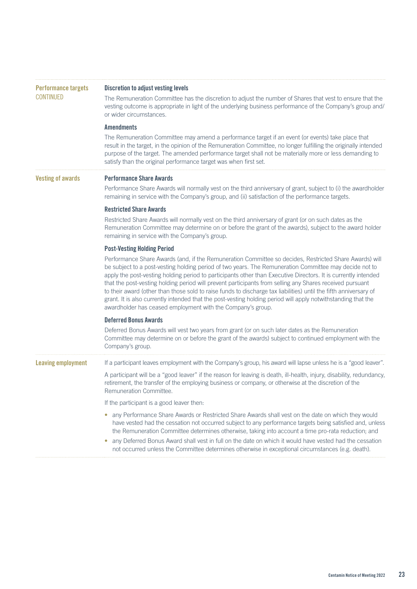| <b>Performance targets</b> | <b>Discretion to adjust vesting levels</b>                                                                                                                                                                                                                                                                                                                                                                                                                                                                                                                                                                                                                                                                                                          |
|----------------------------|-----------------------------------------------------------------------------------------------------------------------------------------------------------------------------------------------------------------------------------------------------------------------------------------------------------------------------------------------------------------------------------------------------------------------------------------------------------------------------------------------------------------------------------------------------------------------------------------------------------------------------------------------------------------------------------------------------------------------------------------------------|
| <b>CONTINUED</b>           | The Remuneration Committee has the discretion to adjust the number of Shares that vest to ensure that the<br>vesting outcome is appropriate in light of the underlying business performance of the Company's group and/<br>or wider circumstances.                                                                                                                                                                                                                                                                                                                                                                                                                                                                                                  |
|                            | <b>Amendments</b>                                                                                                                                                                                                                                                                                                                                                                                                                                                                                                                                                                                                                                                                                                                                   |
|                            | The Remuneration Committee may amend a performance target if an event (or events) take place that<br>result in the target, in the opinion of the Remuneration Committee, no longer fulfilling the originally intended<br>purpose of the target. The amended performance target shall not be materially more or less demanding to<br>satisfy than the original performance target was when first set.                                                                                                                                                                                                                                                                                                                                                |
| <b>Vesting of awards</b>   | <b>Performance Share Awards</b>                                                                                                                                                                                                                                                                                                                                                                                                                                                                                                                                                                                                                                                                                                                     |
|                            | Performance Share Awards will normally vest on the third anniversary of grant, subject to (i) the awardholder<br>remaining in service with the Company's group, and (ii) satisfaction of the performance targets.                                                                                                                                                                                                                                                                                                                                                                                                                                                                                                                                   |
|                            | <b>Restricted Share Awards</b>                                                                                                                                                                                                                                                                                                                                                                                                                                                                                                                                                                                                                                                                                                                      |
|                            | Restricted Share Awards will normally vest on the third anniversary of grant (or on such dates as the<br>Remuneration Committee may determine on or before the grant of the awards), subject to the award holder<br>remaining in service with the Company's group.                                                                                                                                                                                                                                                                                                                                                                                                                                                                                  |
|                            | <b>Post-Vesting Holding Period</b>                                                                                                                                                                                                                                                                                                                                                                                                                                                                                                                                                                                                                                                                                                                  |
|                            | Performance Share Awards (and, if the Remuneration Committee so decides, Restricted Share Awards) will<br>be subject to a post-vesting holding period of two years. The Remuneration Committee may decide not to<br>apply the post-vesting holding period to participants other than Executive Directors. It is currently intended<br>that the post-vesting holding period will prevent participants from selling any Shares received pursuant<br>to their award (other than those sold to raise funds to discharge tax liabilities) until the fifth anniversary of<br>grant. It is also currently intended that the post-vesting holding period will apply notwithstanding that the<br>awardholder has ceased employment with the Company's group. |
|                            | <b>Deferred Bonus Awards</b>                                                                                                                                                                                                                                                                                                                                                                                                                                                                                                                                                                                                                                                                                                                        |
|                            | Deferred Bonus Awards will vest two years from grant (or on such later dates as the Remuneration<br>Committee may determine on or before the grant of the awards) subject to continued employment with the<br>Company's group.                                                                                                                                                                                                                                                                                                                                                                                                                                                                                                                      |
| <b>Leaving employment</b>  | If a participant leaves employment with the Company's group, his award will lapse unless he is a "good leaver".                                                                                                                                                                                                                                                                                                                                                                                                                                                                                                                                                                                                                                     |
|                            | A participant will be a "good leaver" if the reason for leaving is death, ill-health, injury, disability, redundancy,<br>retirement, the transfer of the employing business or company, or otherwise at the discretion of the<br>Remuneration Committee.                                                                                                                                                                                                                                                                                                                                                                                                                                                                                            |
|                            | If the participant is a good leaver then:                                                                                                                                                                                                                                                                                                                                                                                                                                                                                                                                                                                                                                                                                                           |
|                            | • any Performance Share Awards or Restricted Share Awards shall vest on the date on which they would<br>have vested had the cessation not occurred subject to any performance targets being satisfied and, unless<br>the Remuneration Committee determines otherwise, taking into account a time pro-rata reduction; and<br>any Deferred Bonus Award shall vest in full on the date on which it would have vested had the cessation<br>$\bullet$<br>not occurred unless the Committee determines otherwise in exceptional circumstances (e.g. death).                                                                                                                                                                                               |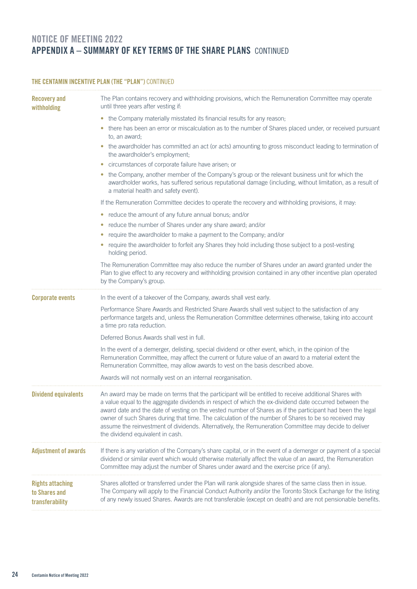## NOTICE OF MEETING 2022 APPENDIX A – SUMMARY OF KEY TERMS OF THE SHARE PLANS CONTINUED

| THE CENTAMIN INCENTIVE PLAN (THE "PLAN") CONTINUED          |                                                                                                                                                                                                                                                                                                                                                                                                                                                                                                                                                                                    |  |  |  |
|-------------------------------------------------------------|------------------------------------------------------------------------------------------------------------------------------------------------------------------------------------------------------------------------------------------------------------------------------------------------------------------------------------------------------------------------------------------------------------------------------------------------------------------------------------------------------------------------------------------------------------------------------------|--|--|--|
| <b>Recovery and</b><br>withholding                          | The Plan contains recovery and withholding provisions, which the Remuneration Committee may operate<br>until three years after vesting if:                                                                                                                                                                                                                                                                                                                                                                                                                                         |  |  |  |
|                                                             | • the Company materially misstated its financial results for any reason;                                                                                                                                                                                                                                                                                                                                                                                                                                                                                                           |  |  |  |
|                                                             | there has been an error or miscalculation as to the number of Shares placed under, or received pursuant<br>$\bullet$<br>to, an award;                                                                                                                                                                                                                                                                                                                                                                                                                                              |  |  |  |
|                                                             | • the awardholder has committed an act (or acts) amounting to gross misconduct leading to termination of<br>the awardholder's employment;                                                                                                                                                                                                                                                                                                                                                                                                                                          |  |  |  |
|                                                             | • circumstances of corporate failure have arisen; or                                                                                                                                                                                                                                                                                                                                                                                                                                                                                                                               |  |  |  |
|                                                             | the Company, another member of the Company's group or the relevant business unit for which the<br>$\bullet$<br>awardholder works, has suffered serious reputational damage (including, without limitation, as a result of<br>a material health and safety event).                                                                                                                                                                                                                                                                                                                  |  |  |  |
|                                                             | If the Remuneration Committee decides to operate the recovery and withholding provisions, it may:                                                                                                                                                                                                                                                                                                                                                                                                                                                                                  |  |  |  |
|                                                             | • reduce the amount of any future annual bonus; and/or                                                                                                                                                                                                                                                                                                                                                                                                                                                                                                                             |  |  |  |
|                                                             | reduce the number of Shares under any share award; and/or<br>$\bullet$                                                                                                                                                                                                                                                                                                                                                                                                                                                                                                             |  |  |  |
|                                                             | require the awardholder to make a payment to the Company; and/or<br>$\bullet$                                                                                                                                                                                                                                                                                                                                                                                                                                                                                                      |  |  |  |
|                                                             | require the awardholder to forfeit any Shares they hold including those subject to a post-vesting<br>holding period.                                                                                                                                                                                                                                                                                                                                                                                                                                                               |  |  |  |
|                                                             | The Remuneration Committee may also reduce the number of Shares under an award granted under the<br>Plan to give effect to any recovery and withholding provision contained in any other incentive plan operated<br>by the Company's group.                                                                                                                                                                                                                                                                                                                                        |  |  |  |
| <b>Corporate events</b>                                     | In the event of a takeover of the Company, awards shall vest early.                                                                                                                                                                                                                                                                                                                                                                                                                                                                                                                |  |  |  |
|                                                             | Performance Share Awards and Restricted Share Awards shall vest subject to the satisfaction of any<br>performance targets and, unless the Remuneration Committee determines otherwise, taking into account<br>a time pro rata reduction.                                                                                                                                                                                                                                                                                                                                           |  |  |  |
|                                                             | Deferred Bonus Awards shall vest in full.                                                                                                                                                                                                                                                                                                                                                                                                                                                                                                                                          |  |  |  |
|                                                             | In the event of a demerger, delisting, special dividend or other event, which, in the opinion of the<br>Remuneration Committee, may affect the current or future value of an award to a material extent the<br>Remuneration Committee, may allow awards to vest on the basis described above.                                                                                                                                                                                                                                                                                      |  |  |  |
|                                                             | Awards will not normally vest on an internal reorganisation.                                                                                                                                                                                                                                                                                                                                                                                                                                                                                                                       |  |  |  |
| <b>Dividend equivalents</b>                                 | An award may be made on terms that the participant will be entitled to receive additional Shares with<br>a value equal to the aggregate dividends in respect of which the ex-dividend date occurred between the<br>award date and the date of vesting on the vested number of Shares as if the participant had been the legal<br>owner of such Shares during that time. The calculation of the number of Shares to be so received may<br>assume the reinvestment of dividends. Alternatively, the Remuneration Committee may decide to deliver<br>the dividend equivalent in cash. |  |  |  |
| <b>Adjustment of awards</b>                                 | If there is any variation of the Company's share capital, or in the event of a demerger or payment of a special<br>dividend or similar event which would otherwise materially affect the value of an award, the Remuneration<br>Committee may adjust the number of Shares under award and the exercise price (if any).                                                                                                                                                                                                                                                             |  |  |  |
| <b>Rights attaching</b><br>to Shares and<br>transferability | Shares allotted or transferred under the Plan will rank alongside shares of the same class then in issue.<br>The Company will apply to the Financial Conduct Authority and/or the Toronto Stock Exchange for the listing<br>of any newly issued Shares. Awards are not transferable (except on death) and are not pensionable benefits.                                                                                                                                                                                                                                            |  |  |  |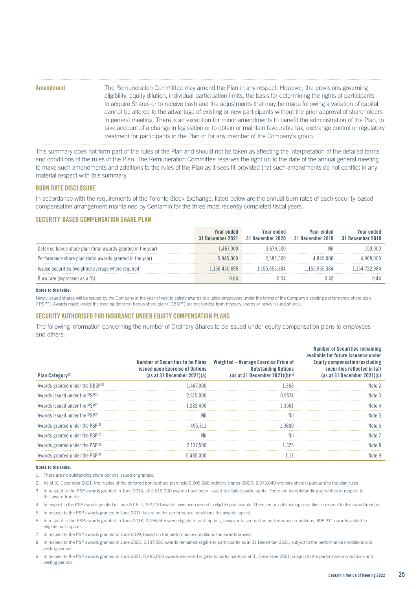| <b>Amendment</b> | The Remuneration Committee may amend the Plan in any respect. However, the provisions governing                     |
|------------------|---------------------------------------------------------------------------------------------------------------------|
|                  | eligibility, equity dilution, individual participation limits, the basis for determining the rights of participants |
|                  | to acquire Shares or to receive cash and the adjustments that may be made following a variation of capital          |
|                  | cannot be altered to the advantage of existing or new participants without the prior approval of shareholders       |
|                  | in general meeting. There is an exception for minor amendments to benefit the administration of the Plan, to        |
|                  | take account of a change in legislation or to obtain or maintain favourable tax, exchange control or regulatory     |
|                  | treatment for participants in the Plan or for any member of the Company's group.                                    |

This summary does not form part of the rules of the Plan and should not be taken as affecting the interpretation of the detailed terms and conditions of the rules of the Plan. The Remuneration Committee reserves the right up to the date of the annual general meeting to make such amendments and additions to the rules of the Plan as it sees fit provided that such amendments do not conflict in any material respect with this summary.

#### BURN RATE DISCLOSURE

In accordance with the requirements of the Toronto Stock Exchange, listed below are the annual burn rates of each security-based compensation arrangement maintained by Centamin for the three most recently completed fiscal years.

## SECURITY-BASED COMPENSATION SHARE PLAN

|                                                              | Year ended<br>31 December 2021 | Year ended<br>31 December 2020 | Year ended<br>31 December 2019 | Year ended<br>31 December 2018 |
|--------------------------------------------------------------|--------------------------------|--------------------------------|--------------------------------|--------------------------------|
| Deferred bonus share plan (total awards granted in the year) | .467.000                       | .679.500                       |                                | 150.000                        |
| Performance share plan (total awards granted in the year)    | 945 000                        | .582.500                       | (1(1))                         |                                |
| Issued securities (weighted average where required)          | 156.450.695                    | 955384                         | .955.384                       |                                |
| Burn rate (expressed as a %)                                 |                                |                                |                                |                                |

#### **Notes to the table:**

Newly issued shares will be issued by the Company in the year of vest to satisfy awards to eligible employees under the terms of the Company's existing performance share plan ("PSP"). Awards made under the existing deferred bonus share plan ("DBSP") are not funded from treasury shares or newly issued shares.

### SECURITY AUTHORISED FOR INSURANCE UNDER EQUITY COMPENSATION PLANS

The following information concerning the number of Ordinary Shares to be issued under equity compensation plans to employees and others:

| Plan Category <sup>(1)</sup>                | Number of Securities to be Plans<br>issued upon Exercise of Options<br>(as at 31 December 2021)(a) | Weighted – Average Exercise Price of<br><b>Outstanding Options</b><br>(as at 31 December 2021)(b) <sup>(4)</sup> | <b>Number of Securities remaining</b><br>available for future issuance under<br><b>Equity compensation (excluding)</b><br>securities reflected in (a))<br>(as at 31 December 2021) $(c)$ |
|---------------------------------------------|----------------------------------------------------------------------------------------------------|------------------------------------------------------------------------------------------------------------------|------------------------------------------------------------------------------------------------------------------------------------------------------------------------------------------|
| Awards granted under the DBSP(2)            | .467.000                                                                                           | 363                                                                                                              | Nnte :                                                                                                                                                                                   |
| Awards issued under the PSP(3)              | 2.615.000                                                                                          | 19574                                                                                                            | Nnte 3                                                                                                                                                                                   |
| Awards issued under the PSP <sup>(4)</sup>  | 1.232.400                                                                                          | 3501                                                                                                             |                                                                                                                                                                                          |
| Awards issued under the PSP <sup>(5)</sup>  |                                                                                                    |                                                                                                                  |                                                                                                                                                                                          |
| Awards granted under the PSP <sup>(6)</sup> | 495.311                                                                                            | 0880                                                                                                             | Nnte h                                                                                                                                                                                   |
| Awards granted under the PSP(7)             |                                                                                                    | Nil                                                                                                              | Nnte J                                                                                                                                                                                   |
| Awards granted under the PSP <sup>(8)</sup> | 2.137.500                                                                                          | 325                                                                                                              |                                                                                                                                                                                          |
| Awards granted under the PSP <sup>(9)</sup> | 485.000                                                                                            |                                                                                                                  |                                                                                                                                                                                          |

#### **Notes to the table:**

1. There are no outstanding share options issued or granted.

- 2. As at 31 December 2021, the trustee of the deferred bonus share plan held 2,205,280 ordinary shares (2020: 2,373,049 ordinary shares) pursuant to the plan rules.
- 3. In respect to the PSP awards granted in June 2015, all 2,615,000 awards have been issued to eligible participants. There are no outstanding securities in respect to this award tranche.
- 4. In respect to the PSP awards granted in June 2016, 1,232,400 awards have been issued to eligible participants. There are no outstanding securities in respect to this award tranche.
- 5. In respect to the PSP awards granted in June 2017, based on the performance conditions the awards lapsed.
- 6. In respect to the PSP awards granted in June 2018, 2,476,555 were eligible to participants, however based on the performance conditions, 495,311 awards vested to eligible participants.
- 7. In respect to the PSP awards granted in June 2019, based on the performance conditions the awards lapsed.
- 8. In respect to the PSP awards granted in June 2020, 2,137,500 awards remained eligible to participants as at 31 December 2021, subject to the performance conditions and vesting periods.
- 9. In respect to the PSP awards granted in June 2021, 5,485,000 awards remained eligible to participants as at 31 December 2021, subject to the performance conditions and vesting periods.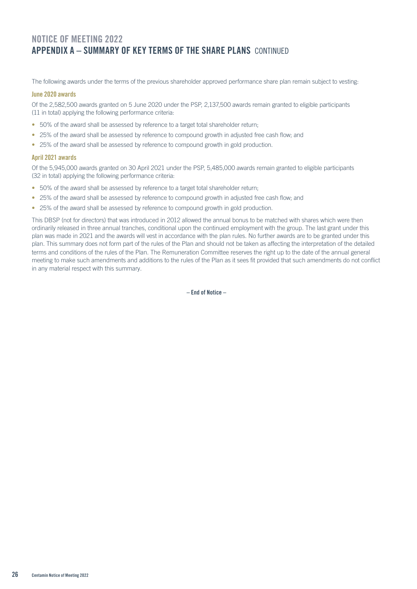## NOTICE OF MEETING 2022 APPENDIX A – SUMMARY OF KEY TERMS OF THE SHARE PLANS CONTINUED

The following awards under the terms of the previous shareholder approved performance share plan remain subject to vesting:

## June 2020 awards

Of the 2,582,500 awards granted on 5 June 2020 under the PSP, 2,137,500 awards remain granted to eligible participants (11 in total) applying the following performance criteria:

- 50% of the award shall be assessed by reference to a target total shareholder return;
- 25% of the award shall be assessed by reference to compound growth in adjusted free cash flow; and
- 25% of the award shall be assessed by reference to compound growth in gold production.

## April 2021 awards

Of the 5,945,000 awards granted on 30 April 2021 under the PSP, 5,485,000 awards remain granted to eligible participants (32 in total) applying the following performance criteria:

- 50% of the award shall be assessed by reference to a target total shareholder return;
- 25% of the award shall be assessed by reference to compound growth in adjusted free cash flow; and
- 25% of the award shall be assessed by reference to compound growth in gold production.

This DBSP (not for directors) that was introduced in 2012 allowed the annual bonus to be matched with shares which were then ordinarily released in three annual tranches, conditional upon the continued employment with the group. The last grant under this plan was made in 2021 and the awards will vest in accordance with the plan rules. No further awards are to be granted under this plan. This summary does not form part of the rules of the Plan and should not be taken as affecting the interpretation of the detailed terms and conditions of the rules of the Plan. The Remuneration Committee reserves the right up to the date of the annual general meeting to make such amendments and additions to the rules of the Plan as it sees fit provided that such amendments do not conflict in any material respect with this summary.

– End of Notice –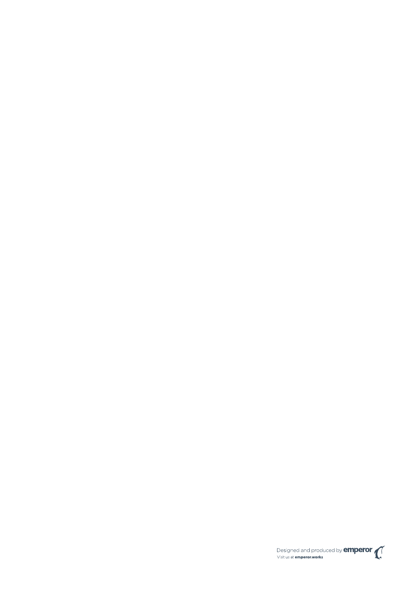